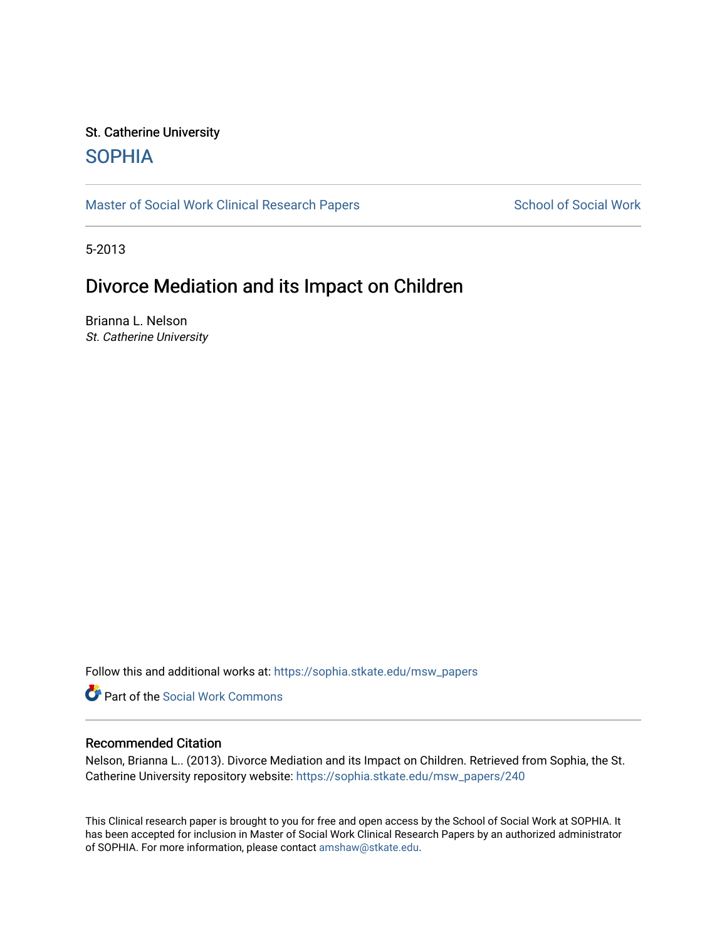# St. Catherine University [SOPHIA](https://sophia.stkate.edu/)

[Master of Social Work Clinical Research Papers](https://sophia.stkate.edu/msw_papers) School of Social Work

5-2013

# Divorce Mediation and its Impact on Children

Brianna L. Nelson St. Catherine University

Follow this and additional works at: [https://sophia.stkate.edu/msw\\_papers](https://sophia.stkate.edu/msw_papers?utm_source=sophia.stkate.edu%2Fmsw_papers%2F240&utm_medium=PDF&utm_campaign=PDFCoverPages) 

Part of the [Social Work Commons](http://network.bepress.com/hgg/discipline/713?utm_source=sophia.stkate.edu%2Fmsw_papers%2F240&utm_medium=PDF&utm_campaign=PDFCoverPages)

### Recommended Citation

Nelson, Brianna L.. (2013). Divorce Mediation and its Impact on Children. Retrieved from Sophia, the St. Catherine University repository website: [https://sophia.stkate.edu/msw\\_papers/240](https://sophia.stkate.edu/msw_papers/240?utm_source=sophia.stkate.edu%2Fmsw_papers%2F240&utm_medium=PDF&utm_campaign=PDFCoverPages) 

This Clinical research paper is brought to you for free and open access by the School of Social Work at SOPHIA. It has been accepted for inclusion in Master of Social Work Clinical Research Papers by an authorized administrator of SOPHIA. For more information, please contact [amshaw@stkate.edu.](mailto:amshaw@stkate.edu)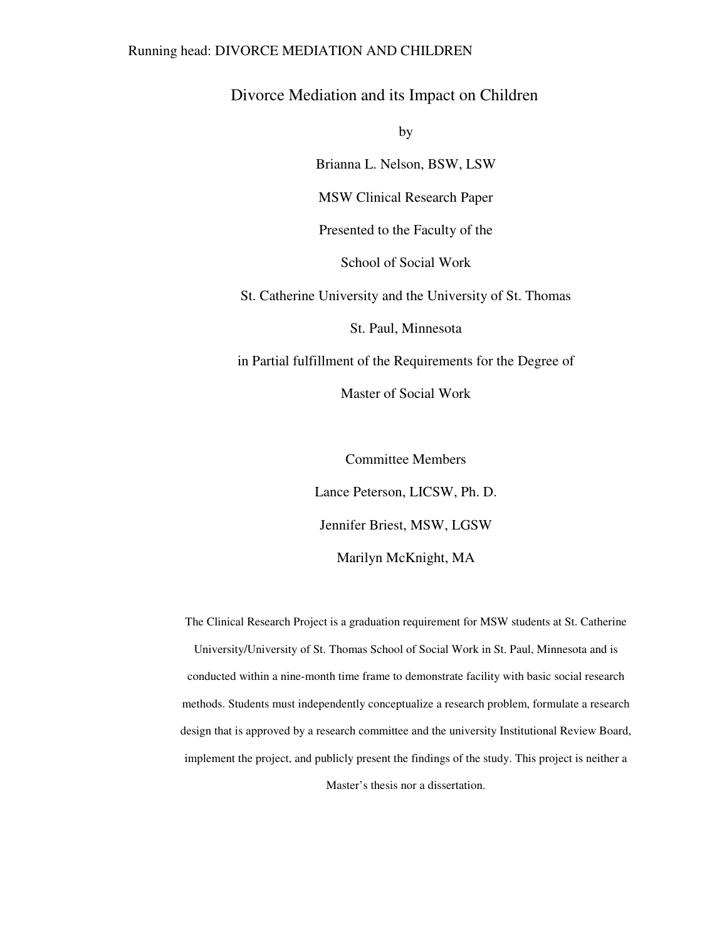#### Running head: DIVORCE MEDIATION AND CHILDREN

Divorce Mediation and its Impact on Children

by

Brianna L. Nelson, BSW, LSW

MSW Clinical Research Paper

Presented to the Faculty of the

School of Social Work

St. Catherine University and the University of St. Thomas

St. Paul, Minnesota

in Partial fulfillment of the Requirements for the Degree of

Master of Social Work

Committee Members Lance Peterson, LICSW, Ph. D. Jennifer Briest, MSW, LGSW Marilyn McKnight, MA

The Clinical Research Project is a graduation requirement for MSW students at St. Catherine University/University of St. Thomas School of Social Work in St. Paul, Minnesota and is conducted within a nine-month time frame to demonstrate facility with basic social research methods. Students must independently conceptualize a research problem, formulate a research design that is approved by a research committee and the university Institutional Review Board, implement the project, and publicly present the findings of the study. This project is neither a

Master's thesis nor a dissertation.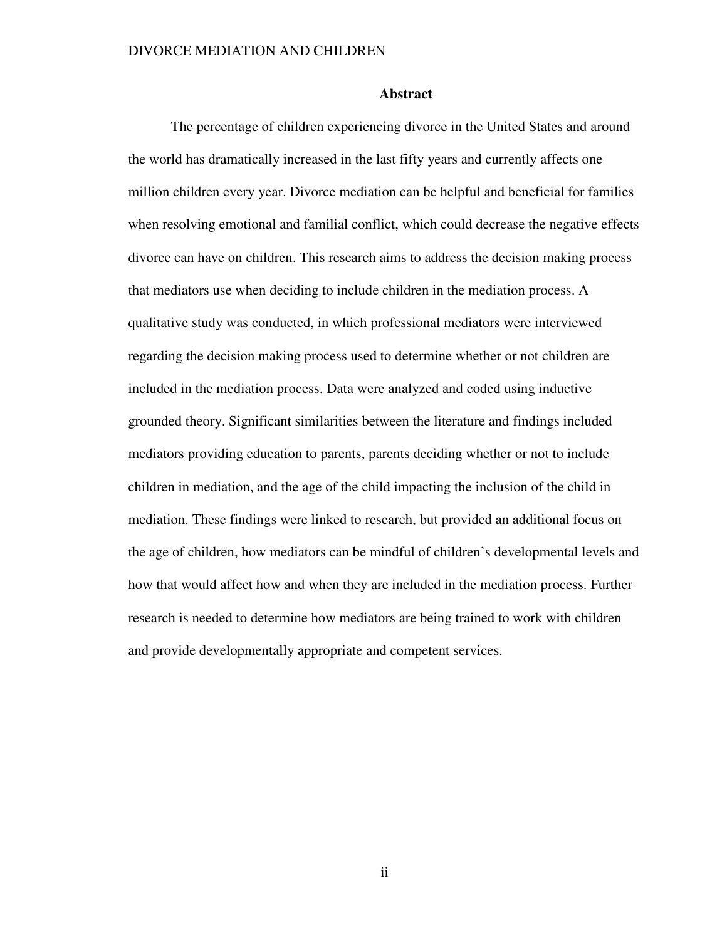#### **Abstract**

The percentage of children experiencing divorce in the United States and around the world has dramatically increased in the last fifty years and currently affects one million children every year. Divorce mediation can be helpful and beneficial for families when resolving emotional and familial conflict, which could decrease the negative effects divorce can have on children. This research aims to address the decision making process that mediators use when deciding to include children in the mediation process. A qualitative study was conducted, in which professional mediators were interviewed regarding the decision making process used to determine whether or not children are included in the mediation process. Data were analyzed and coded using inductive grounded theory. Significant similarities between the literature and findings included mediators providing education to parents, parents deciding whether or not to include children in mediation, and the age of the child impacting the inclusion of the child in mediation. These findings were linked to research, but provided an additional focus on the age of children, how mediators can be mindful of children's developmental levels and how that would affect how and when they are included in the mediation process. Further research is needed to determine how mediators are being trained to work with children and provide developmentally appropriate and competent services.

ii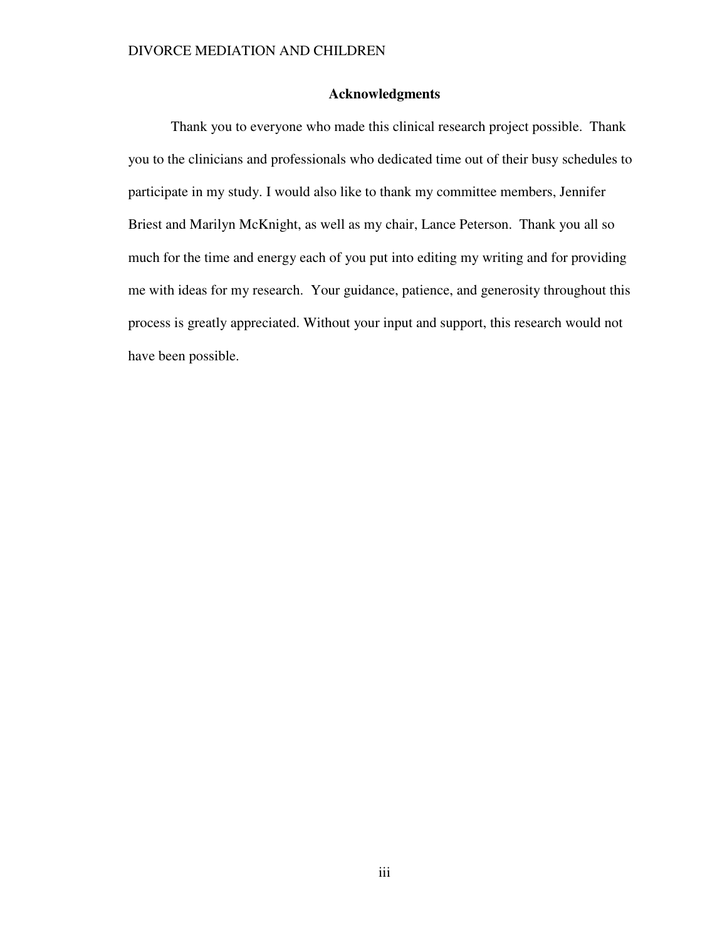### **Acknowledgments**

Thank you to everyone who made this clinical research project possible. Thank you to the clinicians and professionals who dedicated time out of their busy schedules to participate in my study. I would also like to thank my committee members, Jennifer Briest and Marilyn McKnight, as well as my chair, Lance Peterson. Thank you all so much for the time and energy each of you put into editing my writing and for providing me with ideas for my research. Your guidance, patience, and generosity throughout this process is greatly appreciated. Without your input and support, this research would not have been possible.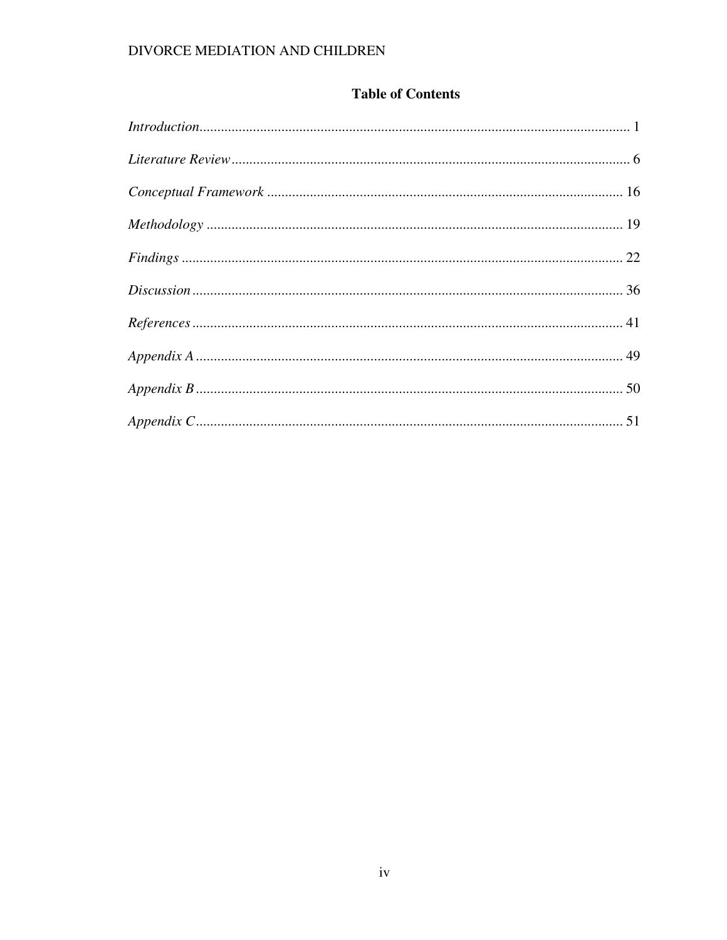## **Table of Contents**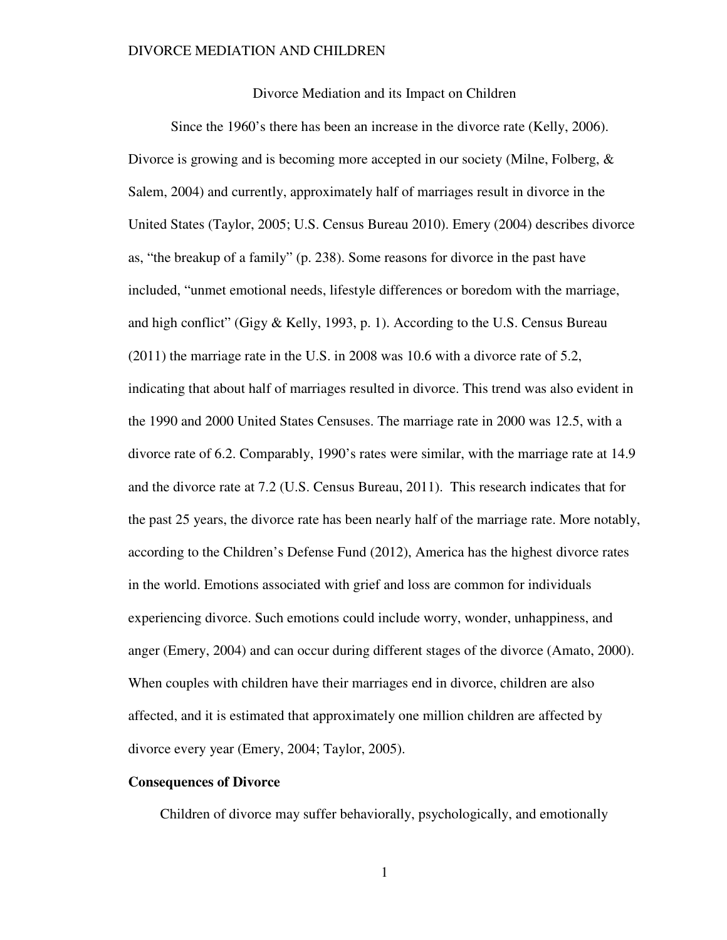Divorce Mediation and its Impact on Children

Since the 1960's there has been an increase in the divorce rate (Kelly, 2006). Divorce is growing and is becoming more accepted in our society (Milne, Folberg, & Salem, 2004) and currently, approximately half of marriages result in divorce in the United States (Taylor, 2005; U.S. Census Bureau 2010). Emery (2004) describes divorce as, "the breakup of a family" (p. 238). Some reasons for divorce in the past have included, "unmet emotional needs, lifestyle differences or boredom with the marriage, and high conflict" (Gigy & Kelly, 1993, p. 1). According to the U.S. Census Bureau (2011) the marriage rate in the U.S. in 2008 was 10.6 with a divorce rate of 5.2, indicating that about half of marriages resulted in divorce. This trend was also evident in the 1990 and 2000 United States Censuses. The marriage rate in 2000 was 12.5, with a divorce rate of 6.2. Comparably, 1990's rates were similar, with the marriage rate at 14.9 and the divorce rate at 7.2 (U.S. Census Bureau, 2011). This research indicates that for the past 25 years, the divorce rate has been nearly half of the marriage rate. More notably, according to the Children's Defense Fund (2012), America has the highest divorce rates in the world. Emotions associated with grief and loss are common for individuals experiencing divorce. Such emotions could include worry, wonder, unhappiness, and anger (Emery, 2004) and can occur during different stages of the divorce (Amato, 2000). When couples with children have their marriages end in divorce, children are also affected, and it is estimated that approximately one million children are affected by divorce every year (Emery, 2004; Taylor, 2005).

### **Consequences of Divorce**

Children of divorce may suffer behaviorally, psychologically, and emotionally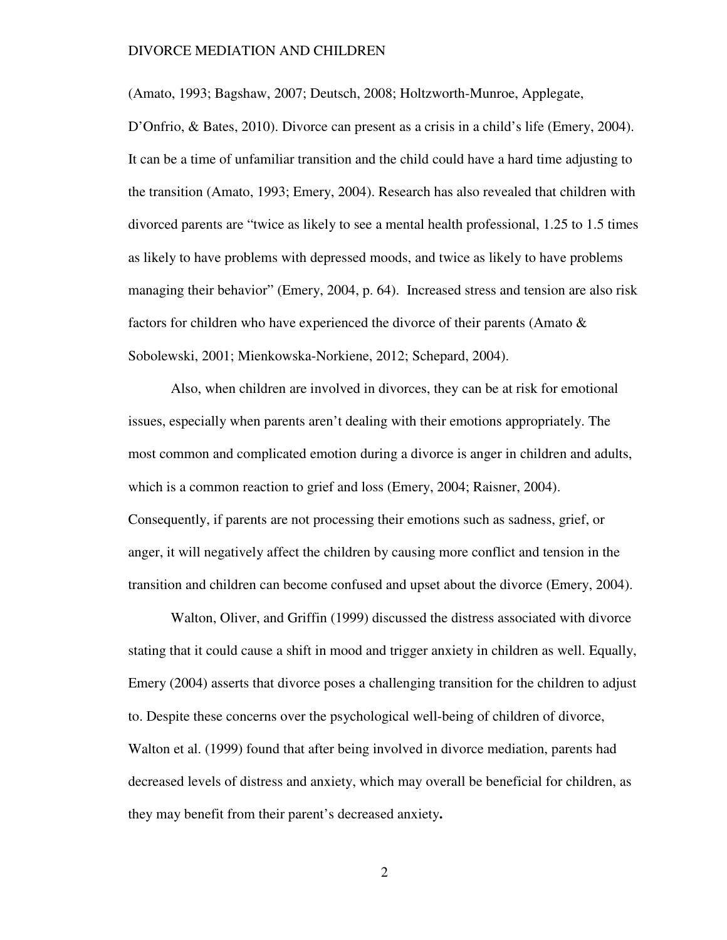(Amato, 1993; Bagshaw, 2007; Deutsch, 2008; Holtzworth-Munroe, Applegate,

D'Onfrio, & Bates, 2010). Divorce can present as a crisis in a child's life (Emery, 2004). It can be a time of unfamiliar transition and the child could have a hard time adjusting to the transition (Amato, 1993; Emery, 2004). Research has also revealed that children with divorced parents are "twice as likely to see a mental health professional, 1.25 to 1.5 times as likely to have problems with depressed moods, and twice as likely to have problems managing their behavior" (Emery, 2004, p. 64). Increased stress and tension are also risk factors for children who have experienced the divorce of their parents (Amato & Sobolewski, 2001; Mienkowska-Norkiene, 2012; Schepard, 2004).

 Also, when children are involved in divorces, they can be at risk for emotional issues, especially when parents aren't dealing with their emotions appropriately. The most common and complicated emotion during a divorce is anger in children and adults, which is a common reaction to grief and loss (Emery, 2004; Raisner, 2004). Consequently, if parents are not processing their emotions such as sadness, grief, or anger, it will negatively affect the children by causing more conflict and tension in the transition and children can become confused and upset about the divorce (Emery, 2004).

Walton, Oliver, and Griffin (1999) discussed the distress associated with divorce stating that it could cause a shift in mood and trigger anxiety in children as well. Equally, Emery (2004) asserts that divorce poses a challenging transition for the children to adjust to. Despite these concerns over the psychological well-being of children of divorce, Walton et al. (1999) found that after being involved in divorce mediation, parents had decreased levels of distress and anxiety, which may overall be beneficial for children, as they may benefit from their parent's decreased anxiety**.**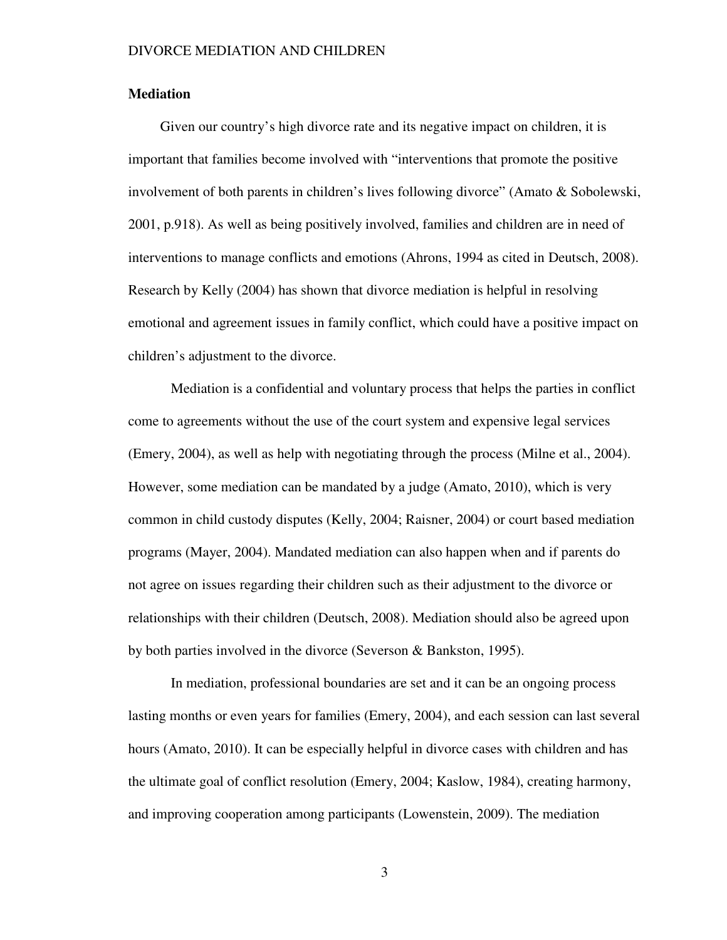#### **Mediation**

Given our country's high divorce rate and its negative impact on children, it is important that families become involved with "interventions that promote the positive involvement of both parents in children's lives following divorce" (Amato & Sobolewski, 2001, p.918). As well as being positively involved, families and children are in need of interventions to manage conflicts and emotions (Ahrons, 1994 as cited in Deutsch, 2008). Research by Kelly (2004) has shown that divorce mediation is helpful in resolving emotional and agreement issues in family conflict, which could have a positive impact on children's adjustment to the divorce.

Mediation is a confidential and voluntary process that helps the parties in conflict come to agreements without the use of the court system and expensive legal services (Emery, 2004), as well as help with negotiating through the process (Milne et al., 2004). However, some mediation can be mandated by a judge (Amato, 2010), which is very common in child custody disputes (Kelly, 2004; Raisner, 2004) or court based mediation programs (Mayer, 2004). Mandated mediation can also happen when and if parents do not agree on issues regarding their children such as their adjustment to the divorce or relationships with their children (Deutsch, 2008). Mediation should also be agreed upon by both parties involved in the divorce (Severson & Bankston, 1995).

In mediation, professional boundaries are set and it can be an ongoing process lasting months or even years for families (Emery, 2004), and each session can last several hours (Amato, 2010). It can be especially helpful in divorce cases with children and has the ultimate goal of conflict resolution (Emery, 2004; Kaslow, 1984), creating harmony, and improving cooperation among participants (Lowenstein, 2009). The mediation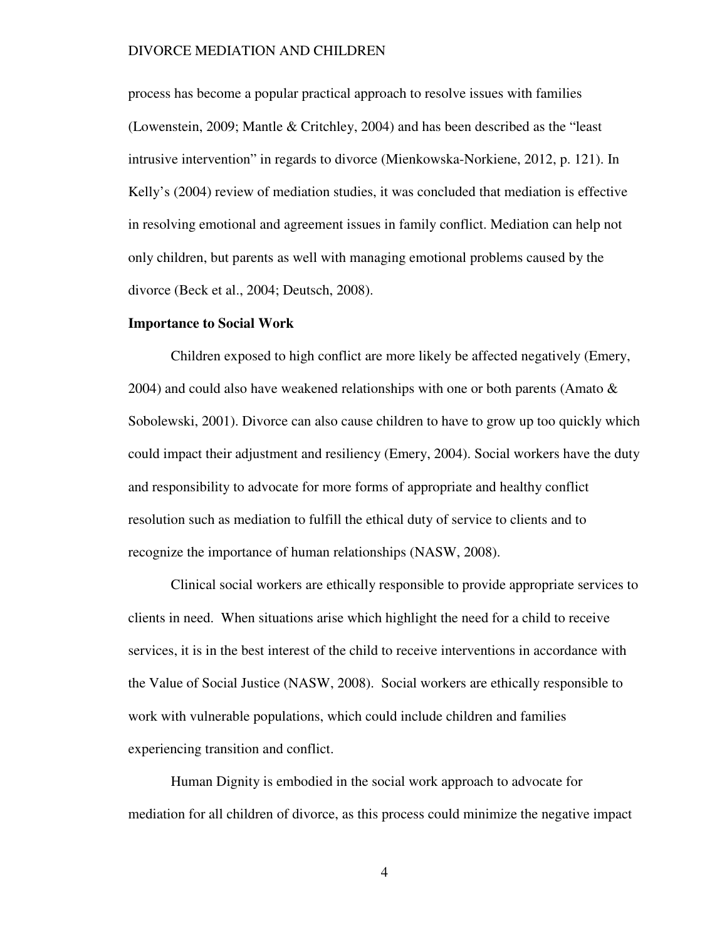process has become a popular practical approach to resolve issues with families (Lowenstein, 2009; Mantle & Critchley, 2004) and has been described as the "least intrusive intervention" in regards to divorce (Mienkowska-Norkiene, 2012, p. 121). In Kelly's (2004) review of mediation studies, it was concluded that mediation is effective in resolving emotional and agreement issues in family conflict. Mediation can help not only children, but parents as well with managing emotional problems caused by the divorce (Beck et al., 2004; Deutsch, 2008).

#### **Importance to Social Work**

Children exposed to high conflict are more likely be affected negatively (Emery, 2004) and could also have weakened relationships with one or both parents (Amato  $\&$ Sobolewski, 2001). Divorce can also cause children to have to grow up too quickly which could impact their adjustment and resiliency (Emery, 2004). Social workers have the duty and responsibility to advocate for more forms of appropriate and healthy conflict resolution such as mediation to fulfill the ethical duty of service to clients and to recognize the importance of human relationships (NASW, 2008).

Clinical social workers are ethically responsible to provide appropriate services to clients in need. When situations arise which highlight the need for a child to receive services, it is in the best interest of the child to receive interventions in accordance with the Value of Social Justice (NASW, 2008). Social workers are ethically responsible to work with vulnerable populations, which could include children and families experiencing transition and conflict.

Human Dignity is embodied in the social work approach to advocate for mediation for all children of divorce, as this process could minimize the negative impact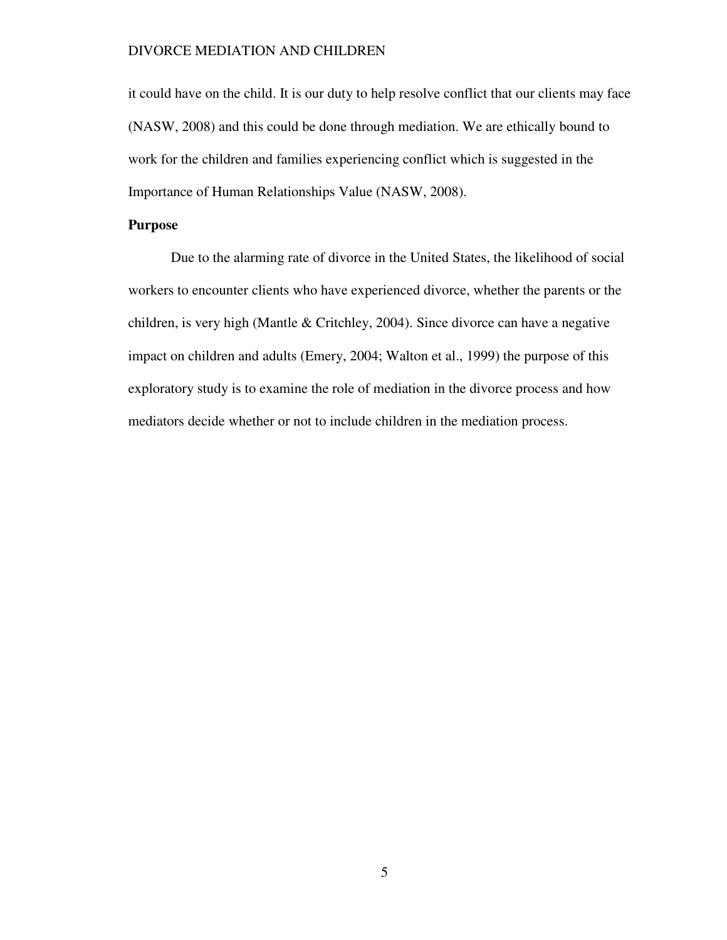it could have on the child. It is our duty to help resolve conflict that our clients may face (NASW, 2008) and this could be done through mediation. We are ethically bound to work for the children and families experiencing conflict which is suggested in the Importance of Human Relationships Value (NASW, 2008).

#### **Purpose**

 Due to the alarming rate of divorce in the United States, the likelihood of social workers to encounter clients who have experienced divorce, whether the parents or the children, is very high (Mantle & Critchley, 2004). Since divorce can have a negative impact on children and adults (Emery, 2004; Walton et al., 1999) the purpose of this exploratory study is to examine the role of mediation in the divorce process and how mediators decide whether or not to include children in the mediation process.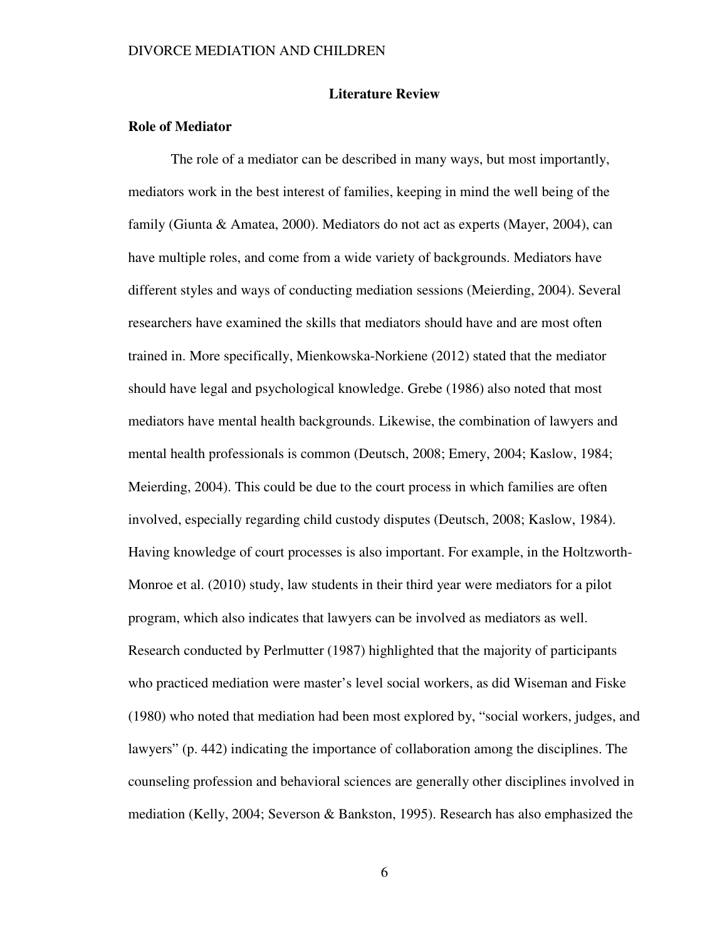#### **Literature Review**

### **Role of Mediator**

 The role of a mediator can be described in many ways, but most importantly, mediators work in the best interest of families, keeping in mind the well being of the family (Giunta & Amatea, 2000). Mediators do not act as experts (Mayer, 2004), can have multiple roles, and come from a wide variety of backgrounds. Mediators have different styles and ways of conducting mediation sessions (Meierding, 2004). Several researchers have examined the skills that mediators should have and are most often trained in. More specifically, Mienkowska-Norkiene (2012) stated that the mediator should have legal and psychological knowledge. Grebe (1986) also noted that most mediators have mental health backgrounds. Likewise, the combination of lawyers and mental health professionals is common (Deutsch, 2008; Emery, 2004; Kaslow, 1984; Meierding, 2004). This could be due to the court process in which families are often involved, especially regarding child custody disputes (Deutsch, 2008; Kaslow, 1984). Having knowledge of court processes is also important. For example, in the Holtzworth-Monroe et al. (2010) study, law students in their third year were mediators for a pilot program, which also indicates that lawyers can be involved as mediators as well. Research conducted by Perlmutter (1987) highlighted that the majority of participants who practiced mediation were master's level social workers, as did Wiseman and Fiske (1980) who noted that mediation had been most explored by, "social workers, judges, and lawyers" (p. 442) indicating the importance of collaboration among the disciplines. The counseling profession and behavioral sciences are generally other disciplines involved in mediation (Kelly, 2004; Severson & Bankston, 1995). Research has also emphasized the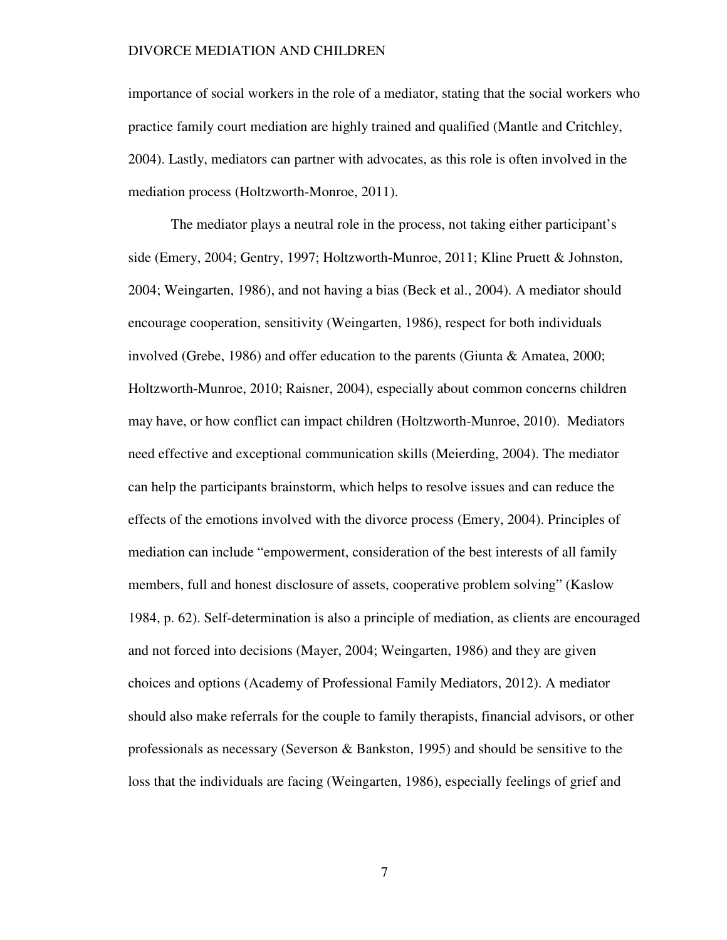importance of social workers in the role of a mediator, stating that the social workers who practice family court mediation are highly trained and qualified (Mantle and Critchley, 2004). Lastly, mediators can partner with advocates, as this role is often involved in the mediation process (Holtzworth-Monroe, 2011).

The mediator plays a neutral role in the process, not taking either participant's side (Emery, 2004; Gentry, 1997; Holtzworth-Munroe, 2011; Kline Pruett & Johnston, 2004; Weingarten, 1986), and not having a bias (Beck et al., 2004). A mediator should encourage cooperation, sensitivity (Weingarten, 1986), respect for both individuals involved (Grebe, 1986) and offer education to the parents (Giunta & Amatea, 2000; Holtzworth-Munroe, 2010; Raisner, 2004), especially about common concerns children may have, or how conflict can impact children (Holtzworth-Munroe, 2010). Mediators need effective and exceptional communication skills (Meierding, 2004). The mediator can help the participants brainstorm, which helps to resolve issues and can reduce the effects of the emotions involved with the divorce process (Emery, 2004). Principles of mediation can include "empowerment, consideration of the best interests of all family members, full and honest disclosure of assets, cooperative problem solving" (Kaslow 1984, p. 62). Self-determination is also a principle of mediation, as clients are encouraged and not forced into decisions (Mayer, 2004; Weingarten, 1986) and they are given choices and options (Academy of Professional Family Mediators, 2012). A mediator should also make referrals for the couple to family therapists, financial advisors, or other professionals as necessary (Severson & Bankston, 1995) and should be sensitive to the loss that the individuals are facing (Weingarten, 1986), especially feelings of grief and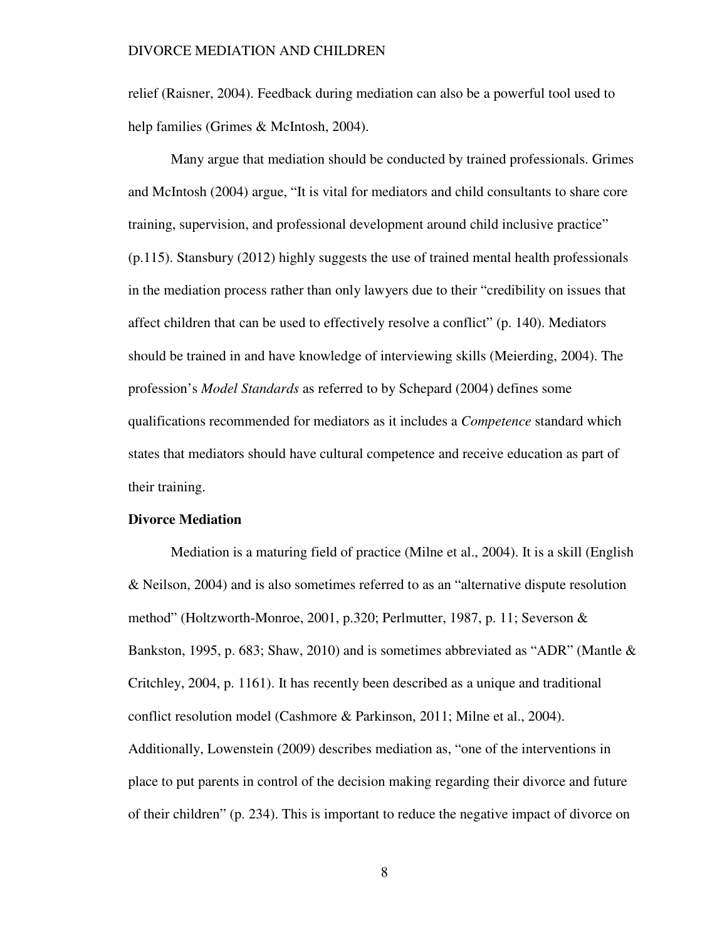relief (Raisner, 2004). Feedback during mediation can also be a powerful tool used to help families (Grimes & McIntosh, 2004).

Many argue that mediation should be conducted by trained professionals. Grimes and McIntosh (2004) argue, "It is vital for mediators and child consultants to share core training, supervision, and professional development around child inclusive practice" (p.115). Stansbury (2012) highly suggests the use of trained mental health professionals in the mediation process rather than only lawyers due to their "credibility on issues that affect children that can be used to effectively resolve a conflict" (p. 140). Mediators should be trained in and have knowledge of interviewing skills (Meierding, 2004). The profession's *Model Standards* as referred to by Schepard (2004) defines some qualifications recommended for mediators as it includes a *Competence* standard which states that mediators should have cultural competence and receive education as part of their training.

#### **Divorce Mediation**

 Mediation is a maturing field of practice (Milne et al., 2004). It is a skill (English & Neilson, 2004) and is also sometimes referred to as an "alternative dispute resolution method" (Holtzworth-Monroe, 2001, p.320; Perlmutter, 1987, p. 11; Severson & Bankston, 1995, p. 683; Shaw, 2010) and is sometimes abbreviated as "ADR" (Mantle & Critchley, 2004, p. 1161). It has recently been described as a unique and traditional conflict resolution model (Cashmore & Parkinson, 2011; Milne et al., 2004). Additionally, Lowenstein (2009) describes mediation as, "one of the interventions in place to put parents in control of the decision making regarding their divorce and future of their children" (p. 234). This is important to reduce the negative impact of divorce on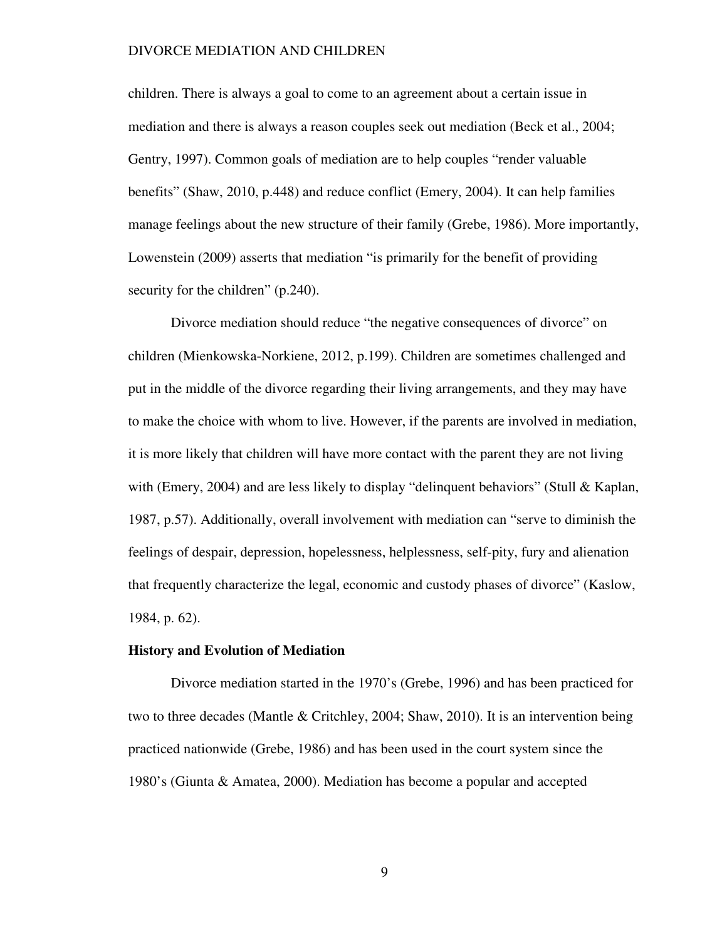children. There is always a goal to come to an agreement about a certain issue in mediation and there is always a reason couples seek out mediation (Beck et al., 2004; Gentry, 1997). Common goals of mediation are to help couples "render valuable benefits" (Shaw, 2010, p.448) and reduce conflict (Emery, 2004). It can help families manage feelings about the new structure of their family (Grebe, 1986). More importantly, Lowenstein (2009) asserts that mediation "is primarily for the benefit of providing security for the children" (p.240).

Divorce mediation should reduce "the negative consequences of divorce" on children (Mienkowska-Norkiene, 2012, p.199). Children are sometimes challenged and put in the middle of the divorce regarding their living arrangements, and they may have to make the choice with whom to live. However, if the parents are involved in mediation, it is more likely that children will have more contact with the parent they are not living with (Emery, 2004) and are less likely to display "delinquent behaviors" (Stull & Kaplan, 1987, p.57). Additionally, overall involvement with mediation can "serve to diminish the feelings of despair, depression, hopelessness, helplessness, self-pity, fury and alienation that frequently characterize the legal, economic and custody phases of divorce" (Kaslow, 1984, p. 62).

#### **History and Evolution of Mediation**

 Divorce mediation started in the 1970's (Grebe, 1996) and has been practiced for two to three decades (Mantle & Critchley, 2004; Shaw, 2010). It is an intervention being practiced nationwide (Grebe, 1986) and has been used in the court system since the 1980's (Giunta & Amatea, 2000). Mediation has become a popular and accepted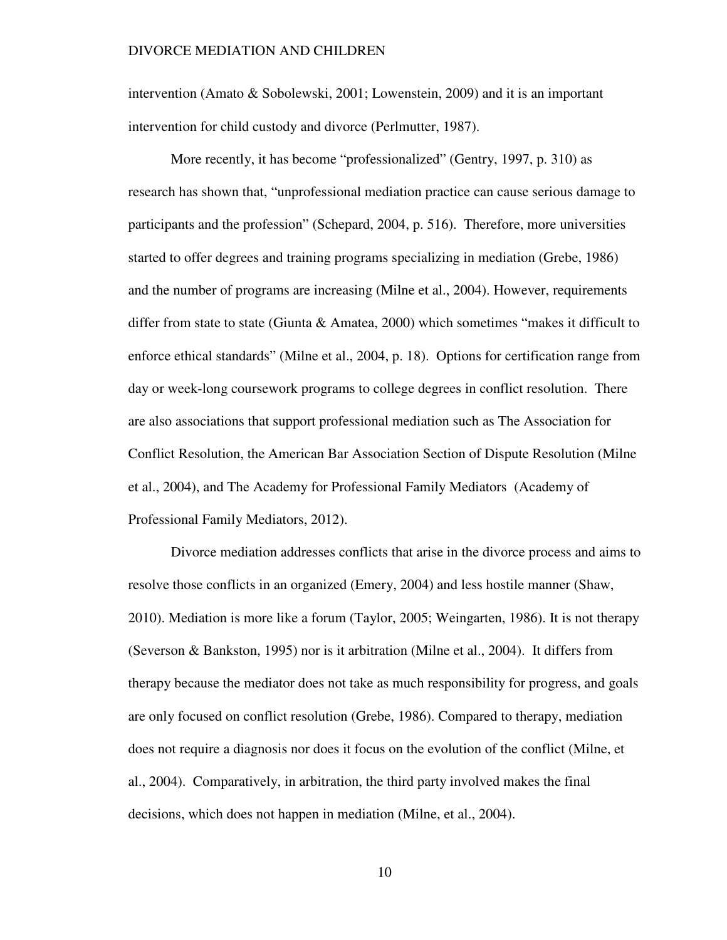intervention (Amato & Sobolewski, 2001; Lowenstein, 2009) and it is an important intervention for child custody and divorce (Perlmutter, 1987).

More recently, it has become "professionalized" (Gentry, 1997, p. 310) as research has shown that, "unprofessional mediation practice can cause serious damage to participants and the profession" (Schepard, 2004, p. 516). Therefore, more universities started to offer degrees and training programs specializing in mediation (Grebe, 1986) and the number of programs are increasing (Milne et al., 2004). However, requirements differ from state to state (Giunta  $\&$  Amatea, 2000) which sometimes "makes it difficult to enforce ethical standards" (Milne et al., 2004, p. 18). Options for certification range from day or week-long coursework programs to college degrees in conflict resolution. There are also associations that support professional mediation such as The Association for Conflict Resolution, the American Bar Association Section of Dispute Resolution (Milne et al., 2004), and The Academy for Professional Family Mediators (Academy of Professional Family Mediators, 2012).

Divorce mediation addresses conflicts that arise in the divorce process and aims to resolve those conflicts in an organized (Emery, 2004) and less hostile manner (Shaw, 2010). Mediation is more like a forum (Taylor, 2005; Weingarten, 1986). It is not therapy (Severson & Bankston, 1995) nor is it arbitration (Milne et al., 2004). It differs from therapy because the mediator does not take as much responsibility for progress, and goals are only focused on conflict resolution (Grebe, 1986). Compared to therapy, mediation does not require a diagnosis nor does it focus on the evolution of the conflict (Milne, et al., 2004). Comparatively, in arbitration, the third party involved makes the final decisions, which does not happen in mediation (Milne, et al., 2004).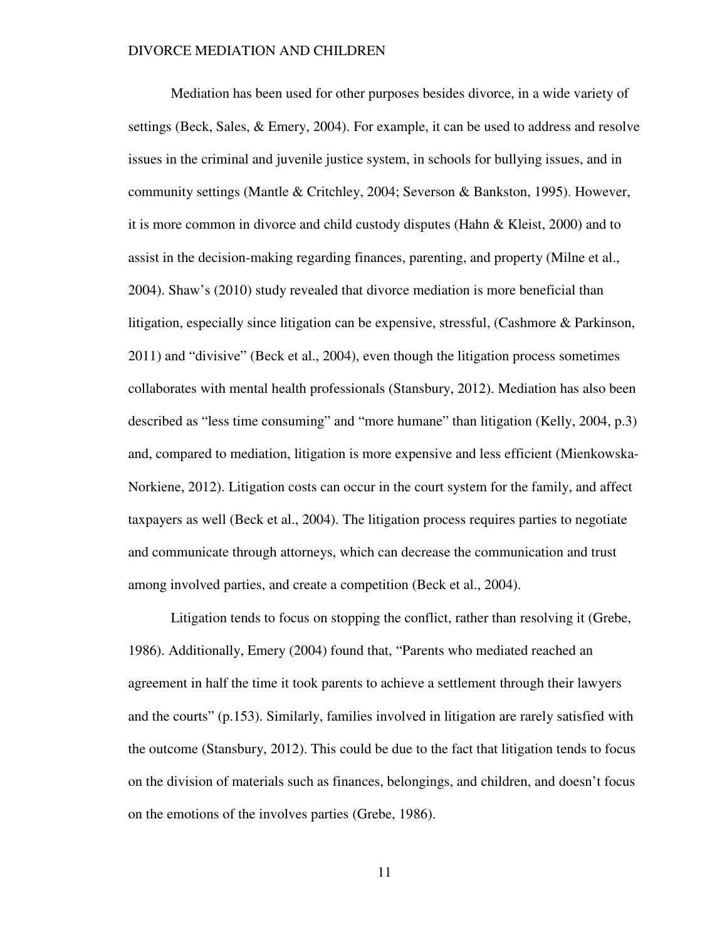Mediation has been used for other purposes besides divorce, in a wide variety of settings (Beck, Sales, & Emery, 2004). For example, it can be used to address and resolve issues in the criminal and juvenile justice system, in schools for bullying issues, and in community settings (Mantle & Critchley, 2004; Severson & Bankston, 1995). However, it is more common in divorce and child custody disputes (Hahn & Kleist, 2000) and to assist in the decision-making regarding finances, parenting, and property (Milne et al., 2004). Shaw's (2010) study revealed that divorce mediation is more beneficial than litigation, especially since litigation can be expensive, stressful, (Cashmore & Parkinson, 2011) and "divisive" (Beck et al., 2004), even though the litigation process sometimes collaborates with mental health professionals (Stansbury, 2012). Mediation has also been described as "less time consuming" and "more humane" than litigation (Kelly, 2004, p.3) and, compared to mediation, litigation is more expensive and less efficient (Mienkowska-Norkiene, 2012). Litigation costs can occur in the court system for the family, and affect taxpayers as well (Beck et al., 2004). The litigation process requires parties to negotiate and communicate through attorneys, which can decrease the communication and trust among involved parties, and create a competition (Beck et al., 2004).

Litigation tends to focus on stopping the conflict, rather than resolving it (Grebe, 1986). Additionally, Emery (2004) found that, "Parents who mediated reached an agreement in half the time it took parents to achieve a settlement through their lawyers and the courts" (p.153). Similarly, families involved in litigation are rarely satisfied with the outcome (Stansbury, 2012). This could be due to the fact that litigation tends to focus on the division of materials such as finances, belongings, and children, and doesn't focus on the emotions of the involves parties (Grebe, 1986).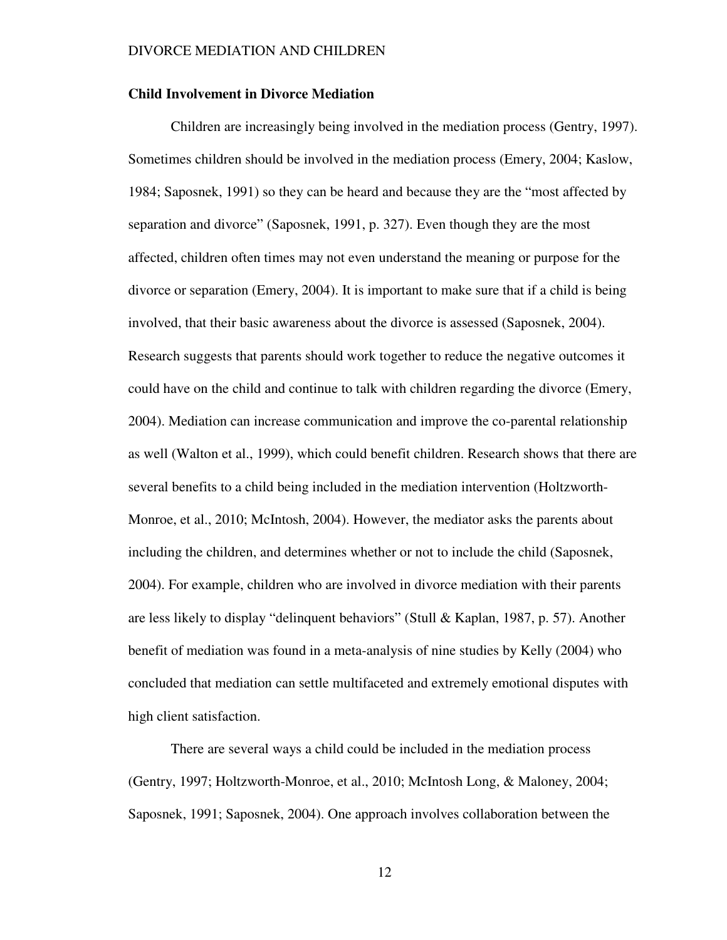#### **Child Involvement in Divorce Mediation**

 Children are increasingly being involved in the mediation process (Gentry, 1997). Sometimes children should be involved in the mediation process (Emery, 2004; Kaslow, 1984; Saposnek, 1991) so they can be heard and because they are the "most affected by separation and divorce" (Saposnek, 1991, p. 327). Even though they are the most affected, children often times may not even understand the meaning or purpose for the divorce or separation (Emery, 2004). It is important to make sure that if a child is being involved, that their basic awareness about the divorce is assessed (Saposnek, 2004). Research suggests that parents should work together to reduce the negative outcomes it could have on the child and continue to talk with children regarding the divorce (Emery, 2004). Mediation can increase communication and improve the co-parental relationship as well (Walton et al., 1999), which could benefit children. Research shows that there are several benefits to a child being included in the mediation intervention (Holtzworth-Monroe, et al., 2010; McIntosh, 2004). However, the mediator asks the parents about including the children, and determines whether or not to include the child (Saposnek, 2004). For example, children who are involved in divorce mediation with their parents are less likely to display "delinquent behaviors" (Stull & Kaplan, 1987, p. 57). Another benefit of mediation was found in a meta-analysis of nine studies by Kelly (2004) who concluded that mediation can settle multifaceted and extremely emotional disputes with high client satisfaction.

 There are several ways a child could be included in the mediation process (Gentry, 1997; Holtzworth-Monroe, et al., 2010; McIntosh Long, & Maloney, 2004; Saposnek, 1991; Saposnek, 2004). One approach involves collaboration between the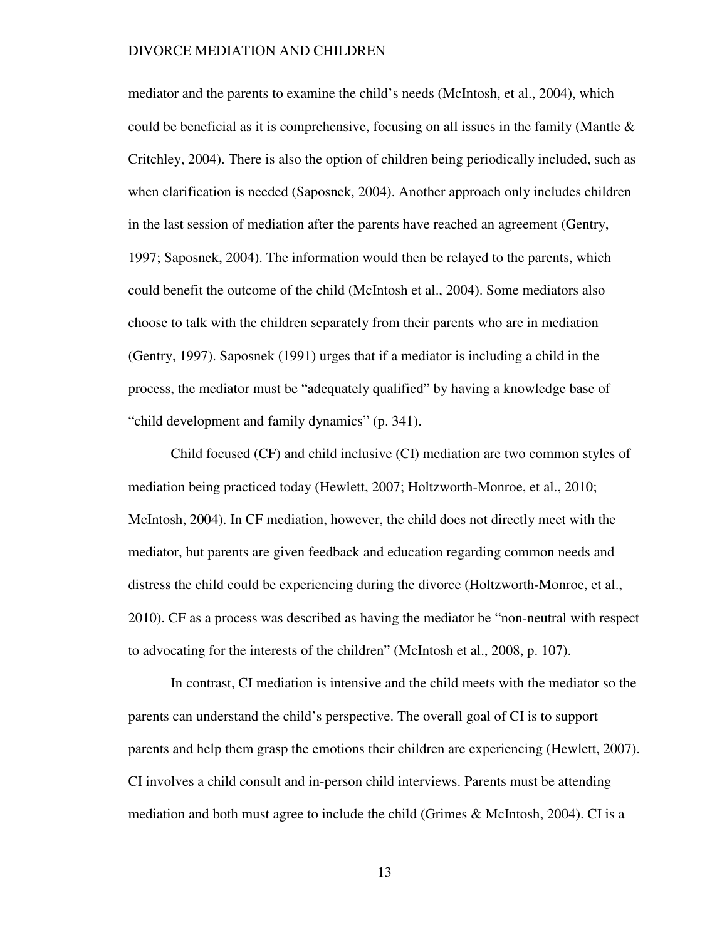mediator and the parents to examine the child's needs (McIntosh, et al., 2004), which could be beneficial as it is comprehensive, focusing on all issues in the family (Mantle  $\&$ Critchley, 2004). There is also the option of children being periodically included, such as when clarification is needed (Saposnek, 2004). Another approach only includes children in the last session of mediation after the parents have reached an agreement (Gentry, 1997; Saposnek, 2004). The information would then be relayed to the parents, which could benefit the outcome of the child (McIntosh et al., 2004). Some mediators also choose to talk with the children separately from their parents who are in mediation (Gentry, 1997). Saposnek (1991) urges that if a mediator is including a child in the process, the mediator must be "adequately qualified" by having a knowledge base of "child development and family dynamics" (p. 341).

 Child focused (CF) and child inclusive (CI) mediation are two common styles of mediation being practiced today (Hewlett, 2007; Holtzworth-Monroe, et al., 2010; McIntosh, 2004). In CF mediation, however, the child does not directly meet with the mediator, but parents are given feedback and education regarding common needs and distress the child could be experiencing during the divorce (Holtzworth-Monroe, et al., 2010). CF as a process was described as having the mediator be "non-neutral with respect to advocating for the interests of the children" (McIntosh et al., 2008, p. 107).

In contrast, CI mediation is intensive and the child meets with the mediator so the parents can understand the child's perspective. The overall goal of CI is to support parents and help them grasp the emotions their children are experiencing (Hewlett, 2007). CI involves a child consult and in-person child interviews. Parents must be attending mediation and both must agree to include the child (Grimes & McIntosh, 2004). CI is a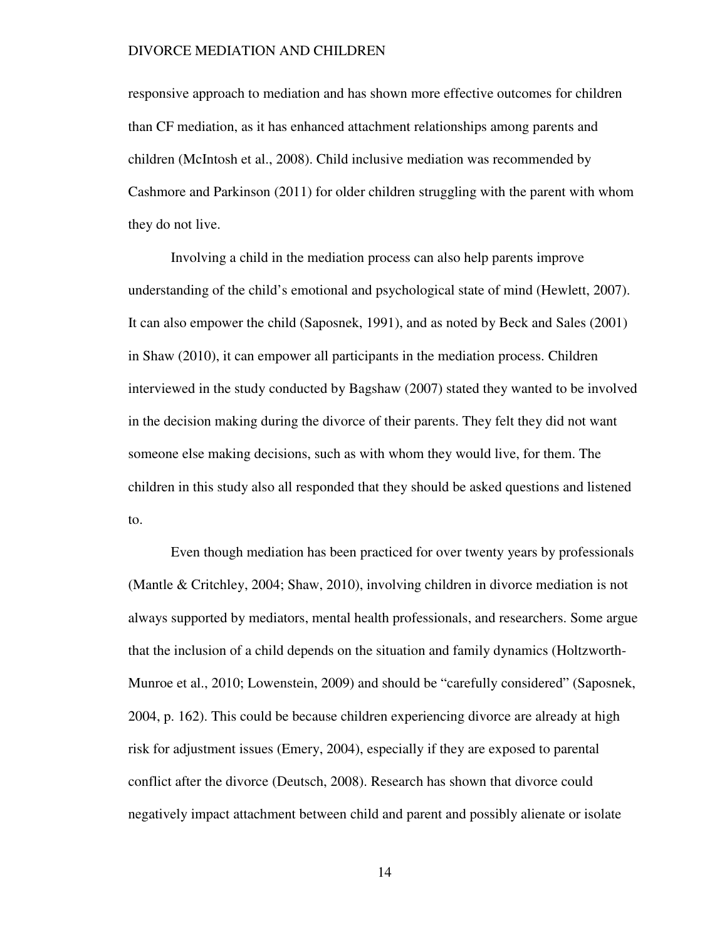responsive approach to mediation and has shown more effective outcomes for children than CF mediation, as it has enhanced attachment relationships among parents and children (McIntosh et al., 2008). Child inclusive mediation was recommended by Cashmore and Parkinson (2011) for older children struggling with the parent with whom they do not live.

Involving a child in the mediation process can also help parents improve understanding of the child's emotional and psychological state of mind (Hewlett, 2007). It can also empower the child (Saposnek, 1991), and as noted by Beck and Sales (2001) in Shaw (2010), it can empower all participants in the mediation process. Children interviewed in the study conducted by Bagshaw (2007) stated they wanted to be involved in the decision making during the divorce of their parents. They felt they did not want someone else making decisions, such as with whom they would live, for them. The children in this study also all responded that they should be asked questions and listened to.

 Even though mediation has been practiced for over twenty years by professionals (Mantle & Critchley, 2004; Shaw, 2010), involving children in divorce mediation is not always supported by mediators, mental health professionals, and researchers. Some argue that the inclusion of a child depends on the situation and family dynamics (Holtzworth-Munroe et al., 2010; Lowenstein, 2009) and should be "carefully considered" (Saposnek, 2004, p. 162). This could be because children experiencing divorce are already at high risk for adjustment issues (Emery, 2004), especially if they are exposed to parental conflict after the divorce (Deutsch, 2008). Research has shown that divorce could negatively impact attachment between child and parent and possibly alienate or isolate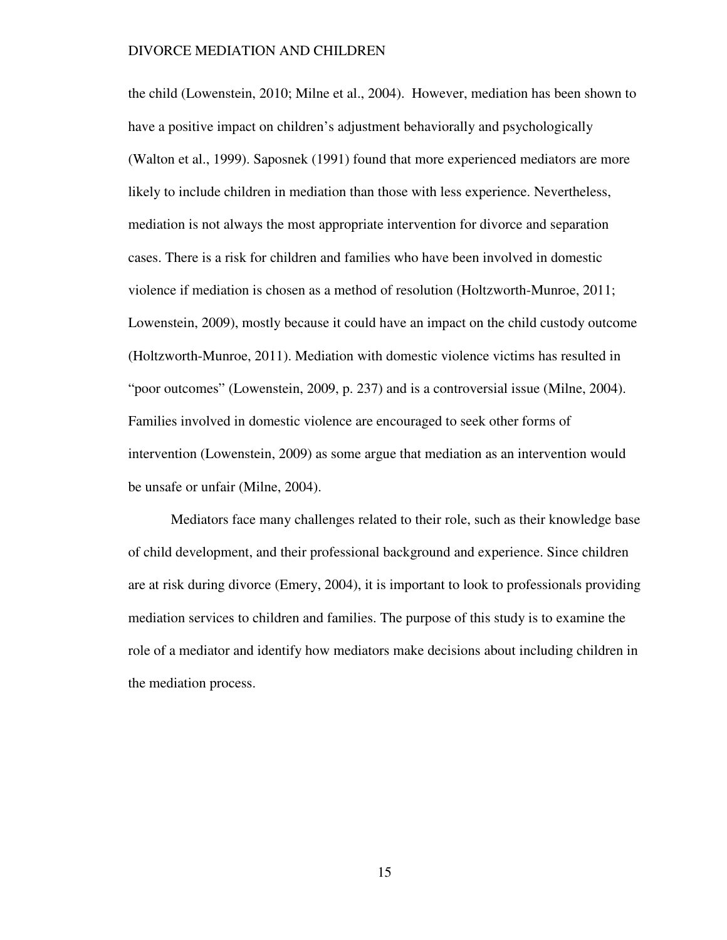the child (Lowenstein, 2010; Milne et al., 2004). However, mediation has been shown to have a positive impact on children's adjustment behaviorally and psychologically (Walton et al., 1999). Saposnek (1991) found that more experienced mediators are more likely to include children in mediation than those with less experience. Nevertheless, mediation is not always the most appropriate intervention for divorce and separation cases. There is a risk for children and families who have been involved in domestic violence if mediation is chosen as a method of resolution (Holtzworth-Munroe, 2011; Lowenstein, 2009), mostly because it could have an impact on the child custody outcome (Holtzworth-Munroe, 2011). Mediation with domestic violence victims has resulted in "poor outcomes" (Lowenstein, 2009, p. 237) and is a controversial issue (Milne, 2004). Families involved in domestic violence are encouraged to seek other forms of intervention (Lowenstein, 2009) as some argue that mediation as an intervention would be unsafe or unfair (Milne, 2004).

Mediators face many challenges related to their role, such as their knowledge base of child development, and their professional background and experience. Since children are at risk during divorce (Emery, 2004), it is important to look to professionals providing mediation services to children and families. The purpose of this study is to examine the role of a mediator and identify how mediators make decisions about including children in the mediation process.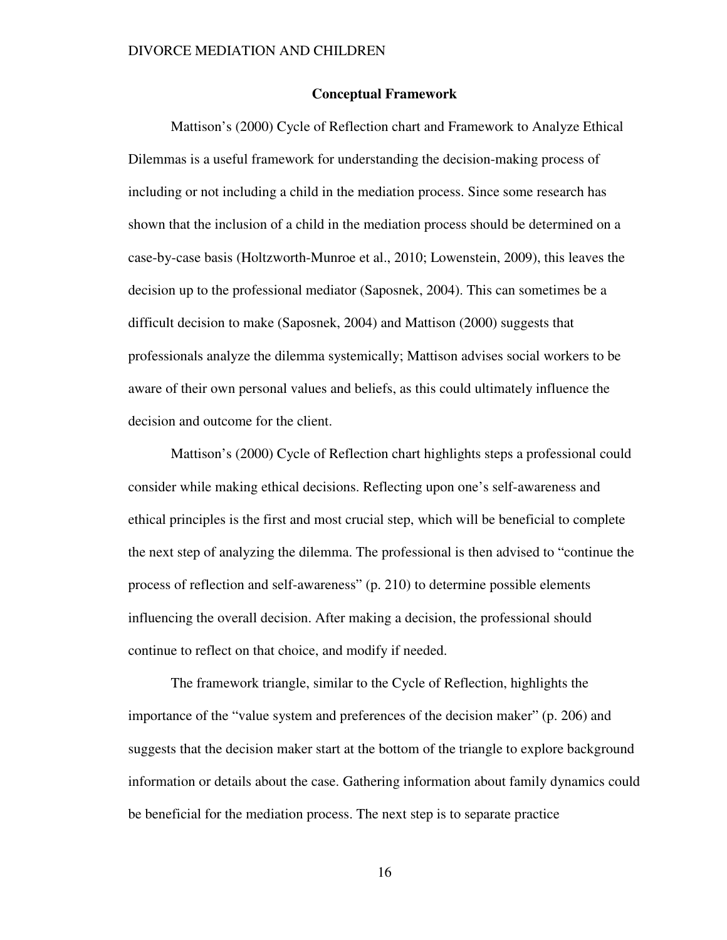#### **Conceptual Framework**

Mattison's (2000) Cycle of Reflection chart and Framework to Analyze Ethical Dilemmas is a useful framework for understanding the decision-making process of including or not including a child in the mediation process. Since some research has shown that the inclusion of a child in the mediation process should be determined on a case-by-case basis (Holtzworth-Munroe et al., 2010; Lowenstein, 2009), this leaves the decision up to the professional mediator (Saposnek, 2004). This can sometimes be a difficult decision to make (Saposnek, 2004) and Mattison (2000) suggests that professionals analyze the dilemma systemically; Mattison advises social workers to be aware of their own personal values and beliefs, as this could ultimately influence the decision and outcome for the client.

Mattison's (2000) Cycle of Reflection chart highlights steps a professional could consider while making ethical decisions. Reflecting upon one's self-awareness and ethical principles is the first and most crucial step, which will be beneficial to complete the next step of analyzing the dilemma. The professional is then advised to "continue the process of reflection and self-awareness" (p. 210) to determine possible elements influencing the overall decision. After making a decision, the professional should continue to reflect on that choice, and modify if needed.

The framework triangle, similar to the Cycle of Reflection, highlights the importance of the "value system and preferences of the decision maker" (p. 206) and suggests that the decision maker start at the bottom of the triangle to explore background information or details about the case. Gathering information about family dynamics could be beneficial for the mediation process. The next step is to separate practice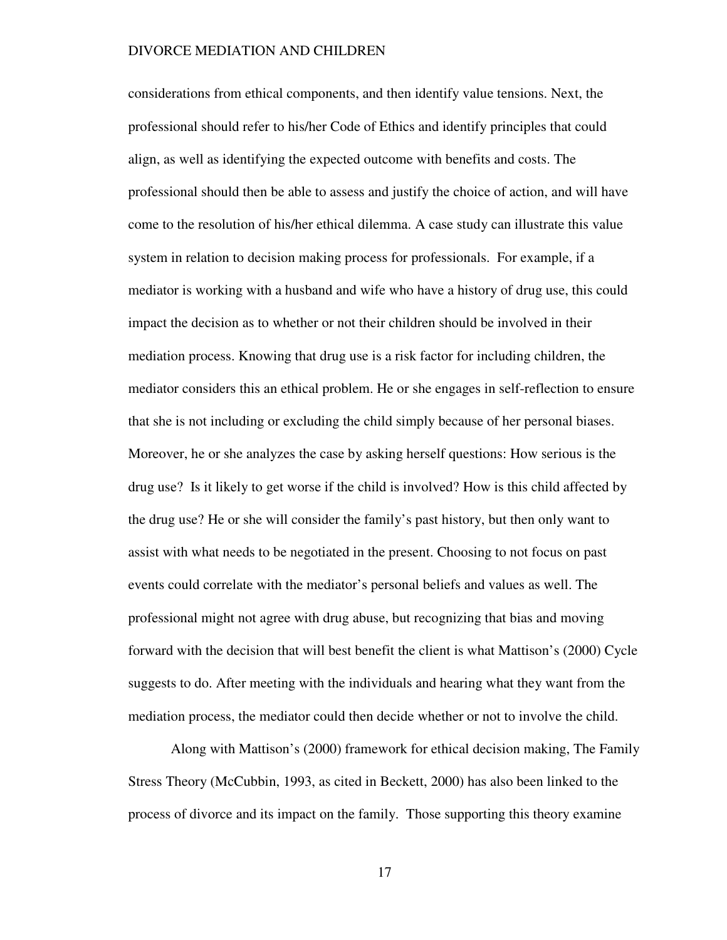considerations from ethical components, and then identify value tensions. Next, the professional should refer to his/her Code of Ethics and identify principles that could align, as well as identifying the expected outcome with benefits and costs. The professional should then be able to assess and justify the choice of action, and will have come to the resolution of his/her ethical dilemma. A case study can illustrate this value system in relation to decision making process for professionals. For example, if a mediator is working with a husband and wife who have a history of drug use, this could impact the decision as to whether or not their children should be involved in their mediation process. Knowing that drug use is a risk factor for including children, the mediator considers this an ethical problem. He or she engages in self-reflection to ensure that she is not including or excluding the child simply because of her personal biases. Moreover, he or she analyzes the case by asking herself questions: How serious is the drug use? Is it likely to get worse if the child is involved? How is this child affected by the drug use? He or she will consider the family's past history, but then only want to assist with what needs to be negotiated in the present. Choosing to not focus on past events could correlate with the mediator's personal beliefs and values as well. The professional might not agree with drug abuse, but recognizing that bias and moving forward with the decision that will best benefit the client is what Mattison's (2000) Cycle suggests to do. After meeting with the individuals and hearing what they want from the mediation process, the mediator could then decide whether or not to involve the child.

Along with Mattison's (2000) framework for ethical decision making, The Family Stress Theory (McCubbin, 1993, as cited in Beckett, 2000) has also been linked to the process of divorce and its impact on the family. Those supporting this theory examine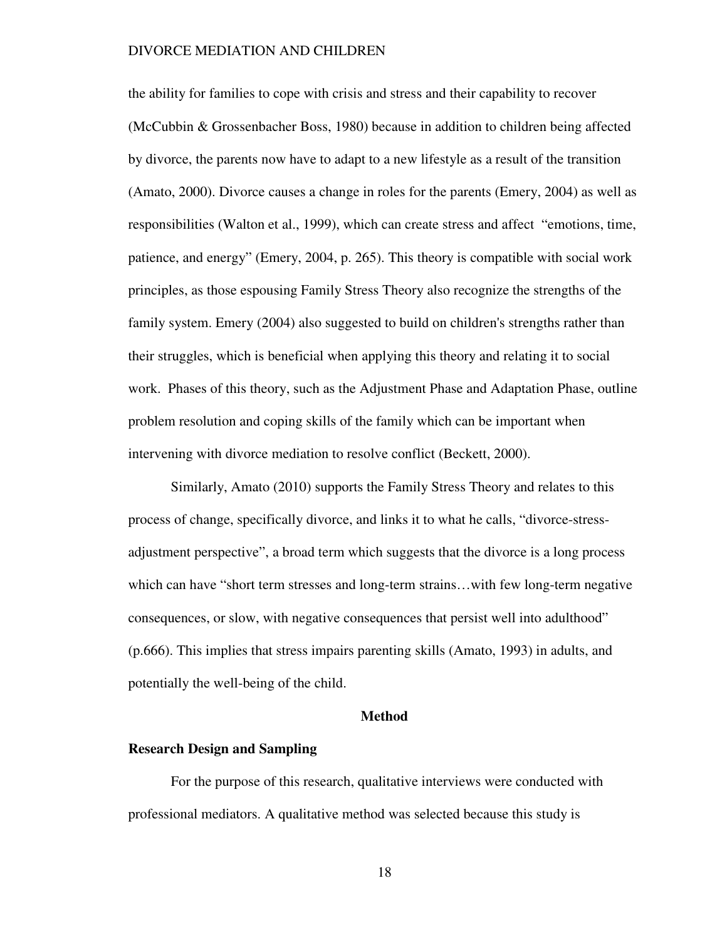the ability for families to cope with crisis and stress and their capability to recover (McCubbin & Grossenbacher Boss, 1980) because in addition to children being affected by divorce, the parents now have to adapt to a new lifestyle as a result of the transition (Amato, 2000). Divorce causes a change in roles for the parents (Emery, 2004) as well as responsibilities (Walton et al., 1999), which can create stress and affect "emotions, time, patience, and energy" (Emery, 2004, p. 265). This theory is compatible with social work principles, as those espousing Family Stress Theory also recognize the strengths of the family system. Emery (2004) also suggested to build on children's strengths rather than their struggles, which is beneficial when applying this theory and relating it to social work. Phases of this theory, such as the Adjustment Phase and Adaptation Phase, outline problem resolution and coping skills of the family which can be important when intervening with divorce mediation to resolve conflict (Beckett, 2000).

Similarly, Amato (2010) supports the Family Stress Theory and relates to this process of change, specifically divorce, and links it to what he calls, "divorce-stressadjustment perspective", a broad term which suggests that the divorce is a long process which can have "short term stresses and long-term strains…with few long-term negative consequences, or slow, with negative consequences that persist well into adulthood" (p.666). This implies that stress impairs parenting skills (Amato, 1993) in adults, and potentially the well-being of the child.

#### **Method**

### **Research Design and Sampling**

For the purpose of this research, qualitative interviews were conducted with professional mediators. A qualitative method was selected because this study is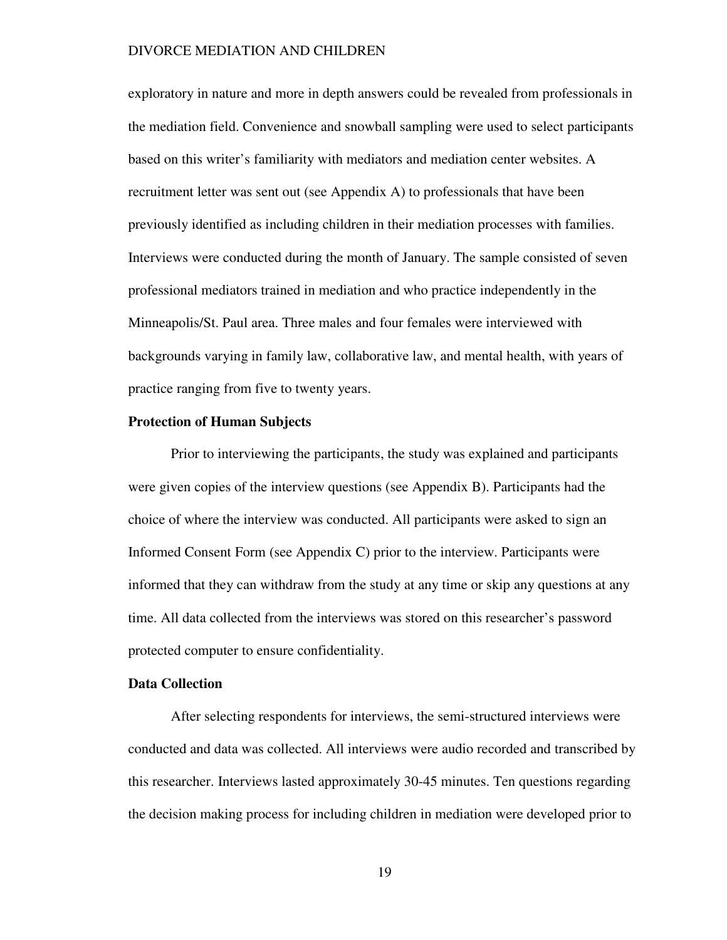exploratory in nature and more in depth answers could be revealed from professionals in the mediation field. Convenience and snowball sampling were used to select participants based on this writer's familiarity with mediators and mediation center websites. A recruitment letter was sent out (see Appendix A) to professionals that have been previously identified as including children in their mediation processes with families. Interviews were conducted during the month of January. The sample consisted of seven professional mediators trained in mediation and who practice independently in the Minneapolis/St. Paul area. Three males and four females were interviewed with backgrounds varying in family law, collaborative law, and mental health, with years of practice ranging from five to twenty years.

#### **Protection of Human Subjects**

Prior to interviewing the participants, the study was explained and participants were given copies of the interview questions (see Appendix B). Participants had the choice of where the interview was conducted. All participants were asked to sign an Informed Consent Form (see Appendix C) prior to the interview. Participants were informed that they can withdraw from the study at any time or skip any questions at any time. All data collected from the interviews was stored on this researcher's password protected computer to ensure confidentiality.

### **Data Collection**

 After selecting respondents for interviews, the semi-structured interviews were conducted and data was collected. All interviews were audio recorded and transcribed by this researcher. Interviews lasted approximately 30-45 minutes. Ten questions regarding the decision making process for including children in mediation were developed prior to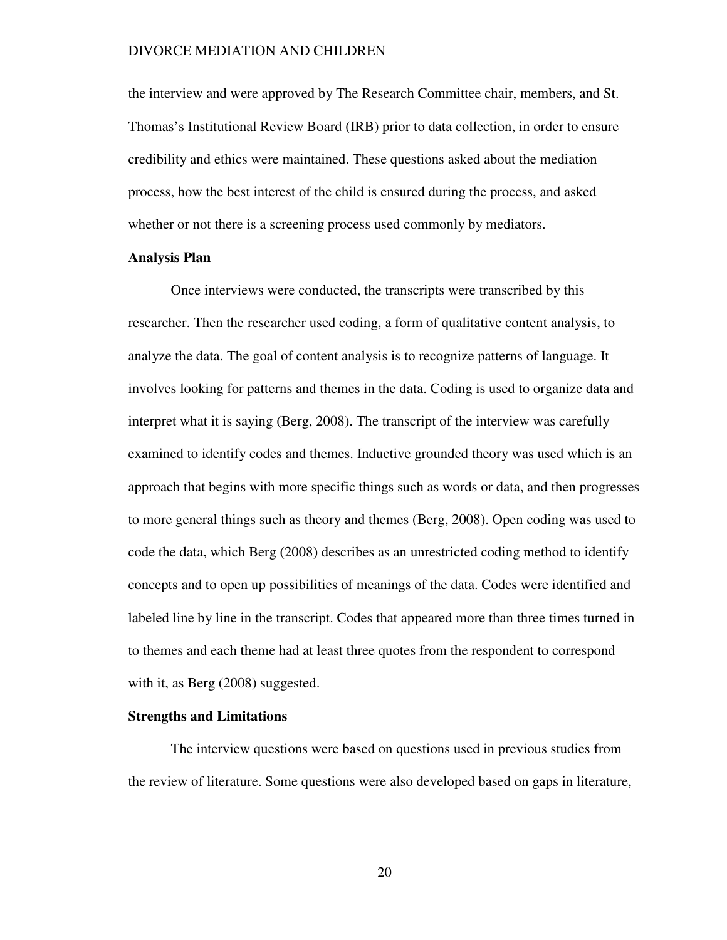the interview and were approved by The Research Committee chair, members, and St. Thomas's Institutional Review Board (IRB) prior to data collection, in order to ensure credibility and ethics were maintained. These questions asked about the mediation process, how the best interest of the child is ensured during the process, and asked whether or not there is a screening process used commonly by mediators.

### **Analysis Plan**

Once interviews were conducted, the transcripts were transcribed by this researcher. Then the researcher used coding, a form of qualitative content analysis, to analyze the data. The goal of content analysis is to recognize patterns of language. It involves looking for patterns and themes in the data. Coding is used to organize data and interpret what it is saying (Berg, 2008). The transcript of the interview was carefully examined to identify codes and themes. Inductive grounded theory was used which is an approach that begins with more specific things such as words or data, and then progresses to more general things such as theory and themes (Berg, 2008). Open coding was used to code the data, which Berg (2008) describes as an unrestricted coding method to identify concepts and to open up possibilities of meanings of the data. Codes were identified and labeled line by line in the transcript. Codes that appeared more than three times turned in to themes and each theme had at least three quotes from the respondent to correspond with it, as Berg (2008) suggested.

### **Strengths and Limitations**

The interview questions were based on questions used in previous studies from the review of literature. Some questions were also developed based on gaps in literature,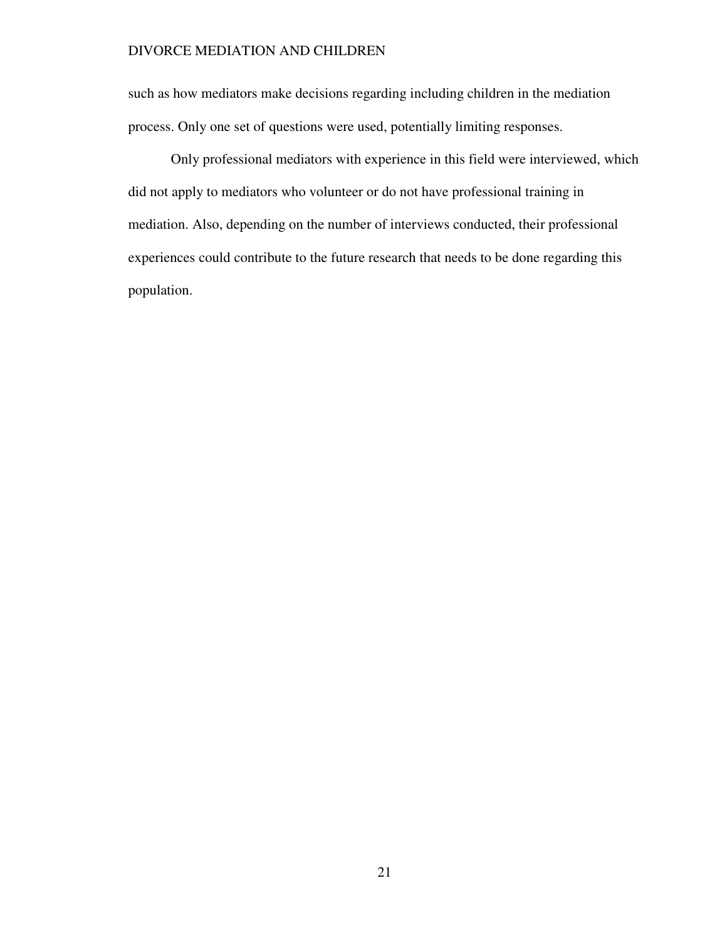such as how mediators make decisions regarding including children in the mediation process. Only one set of questions were used, potentially limiting responses.

Only professional mediators with experience in this field were interviewed, which did not apply to mediators who volunteer or do not have professional training in mediation. Also, depending on the number of interviews conducted, their professional experiences could contribute to the future research that needs to be done regarding this population.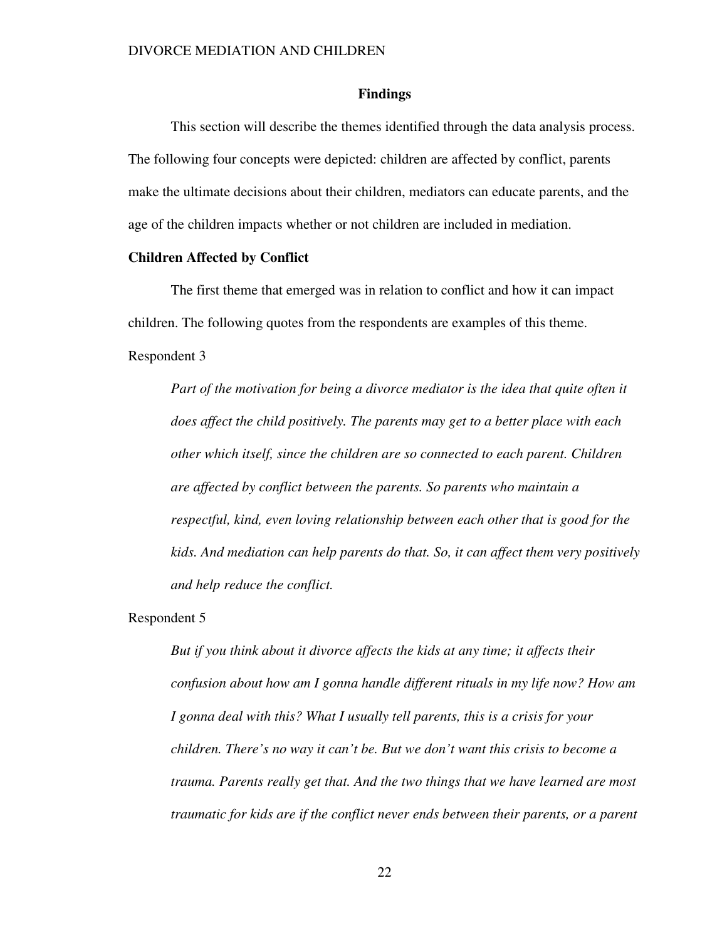#### **Findings**

This section will describe the themes identified through the data analysis process. The following four concepts were depicted: children are affected by conflict, parents make the ultimate decisions about their children, mediators can educate parents, and the age of the children impacts whether or not children are included in mediation.

#### **Children Affected by Conflict**

The first theme that emerged was in relation to conflict and how it can impact children. The following quotes from the respondents are examples of this theme. Respondent 3

*Part of the motivation for being a divorce mediator is the idea that quite often it does affect the child positively. The parents may get to a better place with each other which itself, since the children are so connected to each parent. Children are affected by conflict between the parents. So parents who maintain a respectful, kind, even loving relationship between each other that is good for the kids. And mediation can help parents do that. So, it can affect them very positively and help reduce the conflict.*

Respondent 5

*But if you think about it divorce affects the kids at any time; it affects their confusion about how am I gonna handle different rituals in my life now? How am I gonna deal with this? What I usually tell parents, this is a crisis for your children. There's no way it can't be. But we don't want this crisis to become a trauma. Parents really get that. And the two things that we have learned are most traumatic for kids are if the conflict never ends between their parents, or a parent*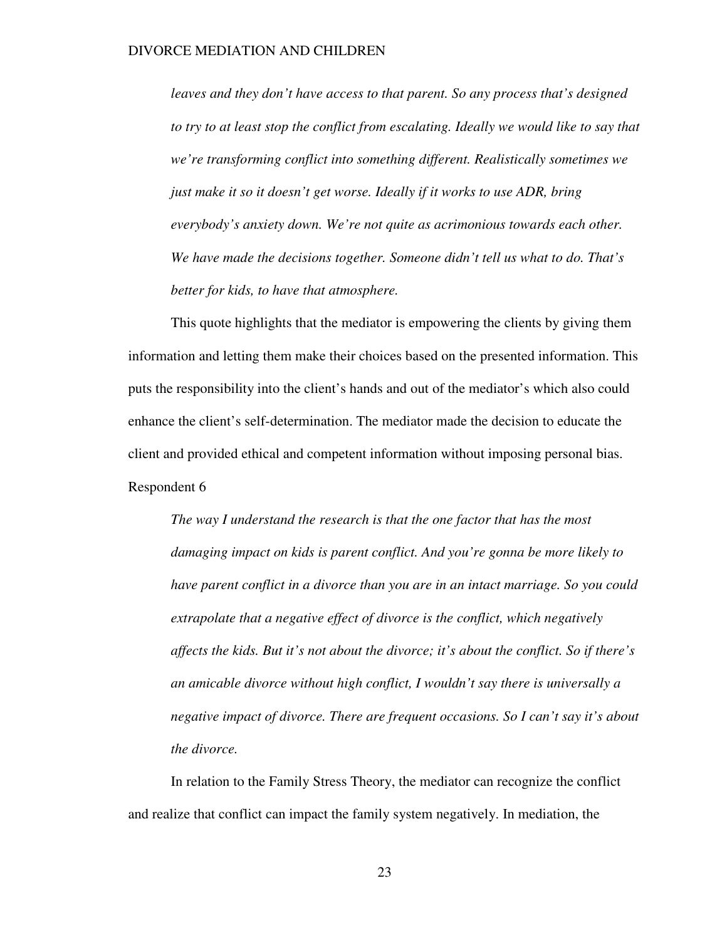*leaves and they don't have access to that parent. So any process that's designed to try to at least stop the conflict from escalating. Ideally we would like to say that we're transforming conflict into something different. Realistically sometimes we just make it so it doesn't get worse. Ideally if it works to use ADR, bring everybody's anxiety down. We're not quite as acrimonious towards each other. We have made the decisions together. Someone didn't tell us what to do. That's better for kids, to have that atmosphere.* 

This quote highlights that the mediator is empowering the clients by giving them information and letting them make their choices based on the presented information. This puts the responsibility into the client's hands and out of the mediator's which also could enhance the client's self-determination. The mediator made the decision to educate the client and provided ethical and competent information without imposing personal bias. Respondent 6

*The way I understand the research is that the one factor that has the most damaging impact on kids is parent conflict. And you're gonna be more likely to have parent conflict in a divorce than you are in an intact marriage. So you could extrapolate that a negative effect of divorce is the conflict, which negatively affects the kids. But it's not about the divorce; it's about the conflict. So if there's an amicable divorce without high conflict, I wouldn't say there is universally a negative impact of divorce. There are frequent occasions. So I can't say it's about the divorce.* 

In relation to the Family Stress Theory, the mediator can recognize the conflict and realize that conflict can impact the family system negatively. In mediation, the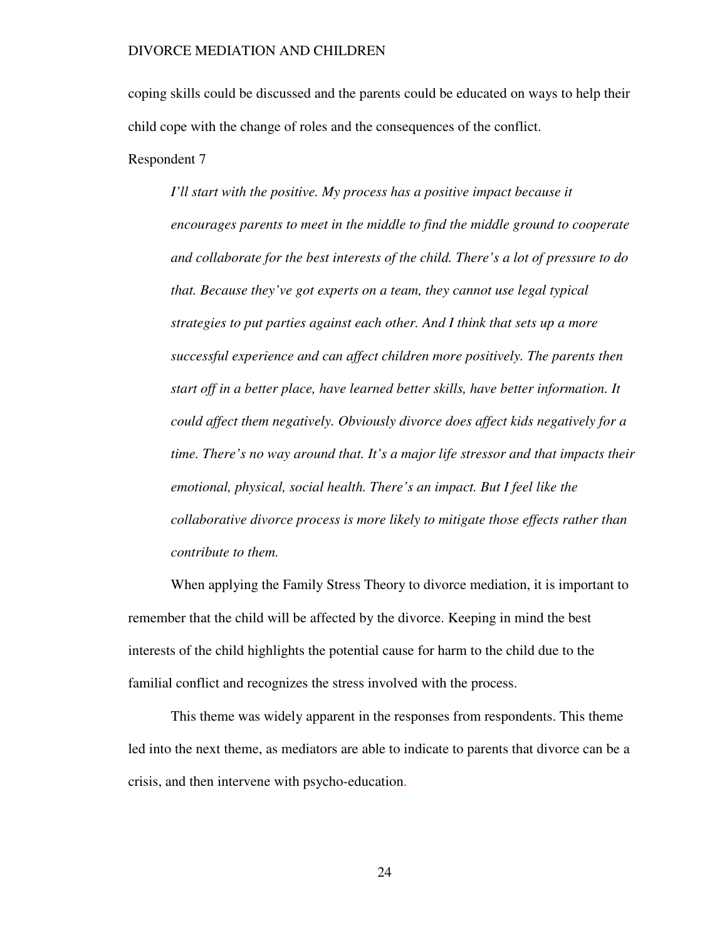coping skills could be discussed and the parents could be educated on ways to help their child cope with the change of roles and the consequences of the conflict.

Respondent 7

*I'll start with the positive. My process has a positive impact because it encourages parents to meet in the middle to find the middle ground to cooperate and collaborate for the best interests of the child. There's a lot of pressure to do that. Because they've got experts on a team, they cannot use legal typical strategies to put parties against each other. And I think that sets up a more successful experience and can affect children more positively. The parents then start off in a better place, have learned better skills, have better information. It could affect them negatively. Obviously divorce does affect kids negatively for a time. There's no way around that. It's a major life stressor and that impacts their emotional, physical, social health. There's an impact. But I feel like the collaborative divorce process is more likely to mitigate those effects rather than contribute to them.* 

When applying the Family Stress Theory to divorce mediation, it is important to remember that the child will be affected by the divorce. Keeping in mind the best interests of the child highlights the potential cause for harm to the child due to the familial conflict and recognizes the stress involved with the process.

This theme was widely apparent in the responses from respondents. This theme led into the next theme, as mediators are able to indicate to parents that divorce can be a crisis, and then intervene with psycho-education.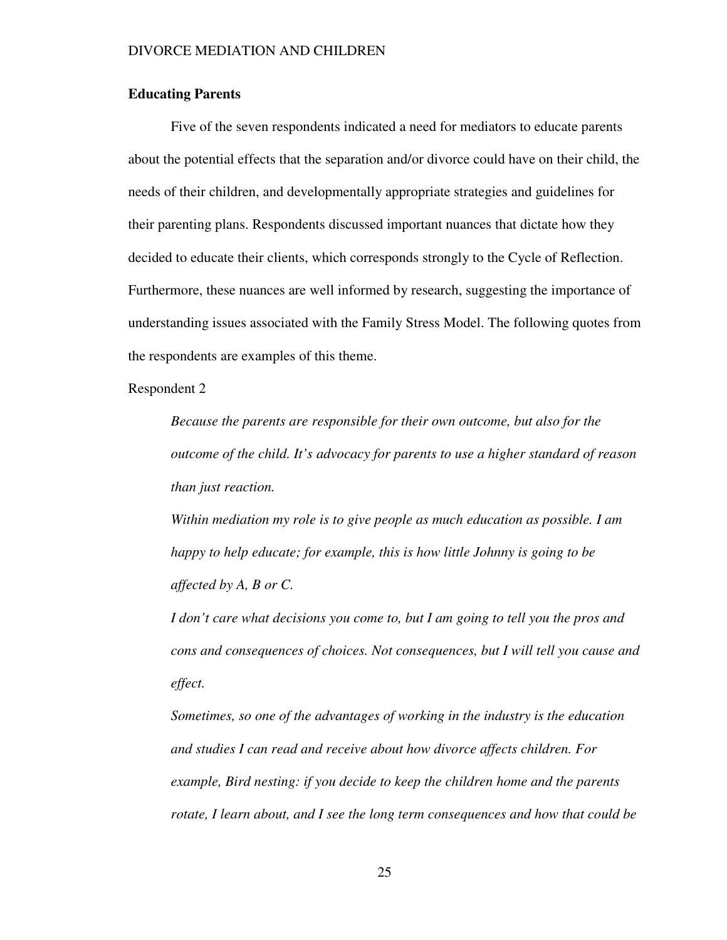### **Educating Parents**

Five of the seven respondents indicated a need for mediators to educate parents about the potential effects that the separation and/or divorce could have on their child, the needs of their children, and developmentally appropriate strategies and guidelines for their parenting plans. Respondents discussed important nuances that dictate how they decided to educate their clients, which corresponds strongly to the Cycle of Reflection. Furthermore, these nuances are well informed by research, suggesting the importance of understanding issues associated with the Family Stress Model. The following quotes from the respondents are examples of this theme.

Respondent 2

*Because the parents are responsible for their own outcome, but also for the outcome of the child. It's advocacy for parents to use a higher standard of reason than just reaction.* 

*Within mediation my role is to give people as much education as possible. I am happy to help educate; for example, this is how little Johnny is going to be affected by A, B or C.* 

*I don't care what decisions you come to, but I am going to tell you the pros and cons and consequences of choices. Not consequences, but I will tell you cause and effect.* 

*Sometimes, so one of the advantages of working in the industry is the education and studies I can read and receive about how divorce affects children. For example, Bird nesting: if you decide to keep the children home and the parents rotate, I learn about, and I see the long term consequences and how that could be*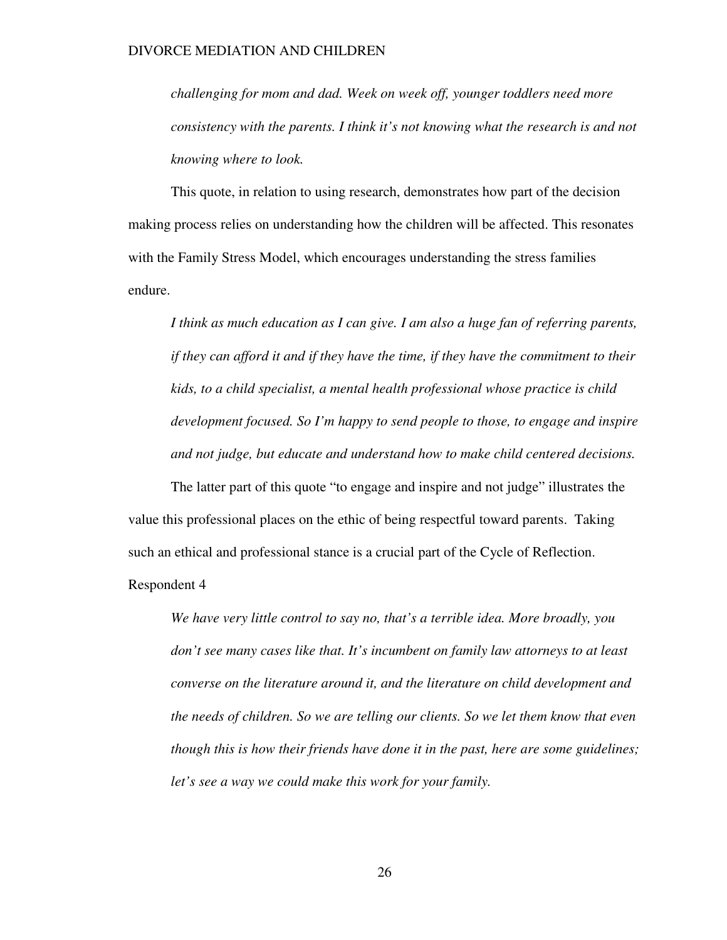*challenging for mom and dad. Week on week off, younger toddlers need more consistency with the parents. I think it's not knowing what the research is and not knowing where to look.* 

This quote, in relation to using research, demonstrates how part of the decision making process relies on understanding how the children will be affected. This resonates with the Family Stress Model, which encourages understanding the stress families endure.

*I think as much education as I can give. I am also a huge fan of referring parents, if they can afford it and if they have the time, if they have the commitment to their kids, to a child specialist, a mental health professional whose practice is child development focused. So I'm happy to send people to those, to engage and inspire and not judge, but educate and understand how to make child centered decisions.* 

The latter part of this quote "to engage and inspire and not judge" illustrates the value this professional places on the ethic of being respectful toward parents. Taking such an ethical and professional stance is a crucial part of the Cycle of Reflection.

Respondent 4

*We have very little control to say no, that's a terrible idea. More broadly, you don't see many cases like that. It's incumbent on family law attorneys to at least converse on the literature around it, and the literature on child development and the needs of children. So we are telling our clients. So we let them know that even though this is how their friends have done it in the past, here are some guidelines; let's see a way we could make this work for your family.*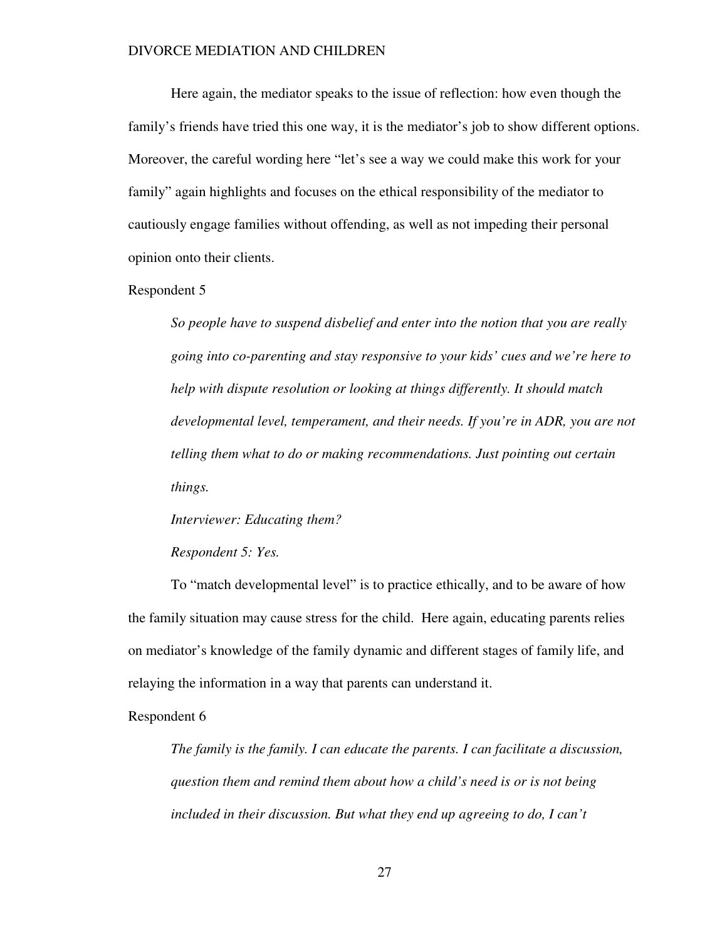Here again, the mediator speaks to the issue of reflection: how even though the family's friends have tried this one way, it is the mediator's job to show different options. Moreover, the careful wording here "let's see a way we could make this work for your family" again highlights and focuses on the ethical responsibility of the mediator to cautiously engage families without offending, as well as not impeding their personal opinion onto their clients.

#### Respondent 5

*So people have to suspend disbelief and enter into the notion that you are really going into co-parenting and stay responsive to your kids' cues and we're here to help with dispute resolution or looking at things differently. It should match developmental level, temperament, and their needs. If you're in ADR, you are not telling them what to do or making recommendations. Just pointing out certain things.* 

#### *Interviewer: Educating them?*

#### *Respondent 5: Yes.*

To "match developmental level" is to practice ethically, and to be aware of how the family situation may cause stress for the child. Here again, educating parents relies on mediator's knowledge of the family dynamic and different stages of family life, and relaying the information in a way that parents can understand it.

#### Respondent 6

*The family is the family. I can educate the parents. I can facilitate a discussion, question them and remind them about how a child's need is or is not being included in their discussion. But what they end up agreeing to do, I can't*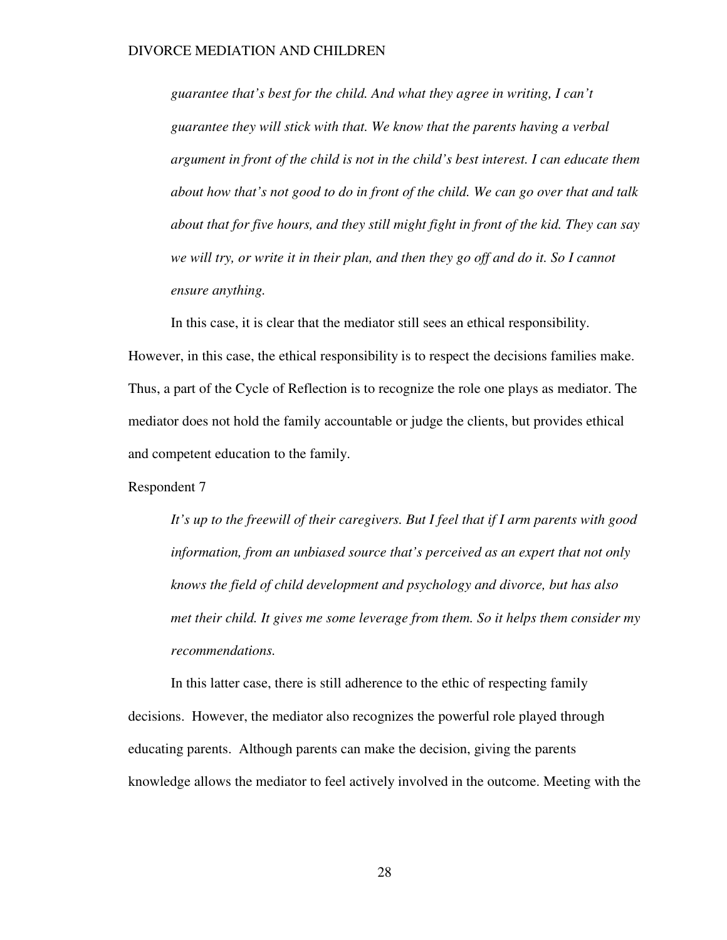*guarantee that's best for the child. And what they agree in writing, I can't guarantee they will stick with that. We know that the parents having a verbal argument in front of the child is not in the child's best interest. I can educate them about how that's not good to do in front of the child. We can go over that and talk about that for five hours, and they still might fight in front of the kid. They can say*  we will try, or write it in their plan, and then they go off and do it. So I cannot *ensure anything.* 

In this case, it is clear that the mediator still sees an ethical responsibility. However, in this case, the ethical responsibility is to respect the decisions families make. Thus, a part of the Cycle of Reflection is to recognize the role one plays as mediator. The mediator does not hold the family accountable or judge the clients, but provides ethical and competent education to the family.

Respondent 7

*It's up to the freewill of their caregivers. But I feel that if I arm parents with good information, from an unbiased source that's perceived as an expert that not only knows the field of child development and psychology and divorce, but has also met their child. It gives me some leverage from them. So it helps them consider my recommendations.* 

In this latter case, there is still adherence to the ethic of respecting family decisions. However, the mediator also recognizes the powerful role played through educating parents. Although parents can make the decision, giving the parents knowledge allows the mediator to feel actively involved in the outcome. Meeting with the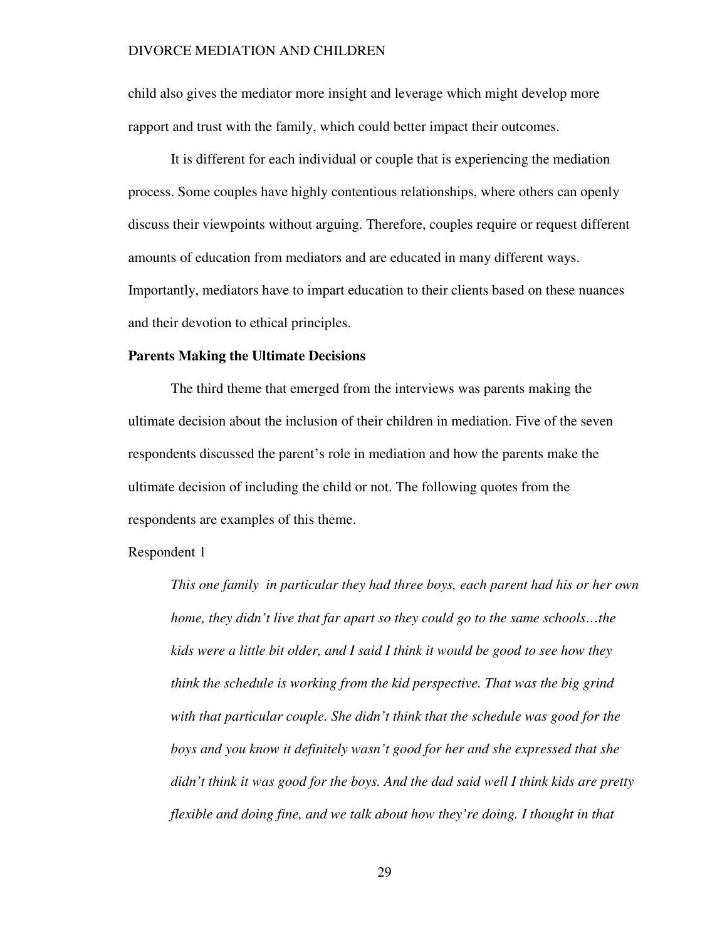child also gives the mediator more insight and leverage which might develop more rapport and trust with the family, which could better impact their outcomes.

It is different for each individual or couple that is experiencing the mediation process. Some couples have highly contentious relationships, where others can openly discuss their viewpoints without arguing. Therefore, couples require or request different amounts of education from mediators and are educated in many different ways. Importantly, mediators have to impart education to their clients based on these nuances and their devotion to ethical principles.

#### **Parents Making the Ultimate Decisions**

The third theme that emerged from the interviews was parents making the ultimate decision about the inclusion of their children in mediation. Five of the seven respondents discussed the parent's role in mediation and how the parents make the ultimate decision of including the child or not. The following quotes from the respondents are examples of this theme.

Respondent 1

*This one family in particular they had three boys, each parent had his or her own home, they didn't live that far apart so they could go to the same schools...the kids were a little bit older, and I said I think it would be good to see how they think the schedule is working from the kid perspective. That was the big grind with that particular couple. She didn't think that the schedule was good for the boys and you know it definitely wasn't good for her and she expressed that she didn't think it was good for the boys. And the dad said well I think kids are pretty flexible and doing fine, and we talk about how they're doing. I thought in that*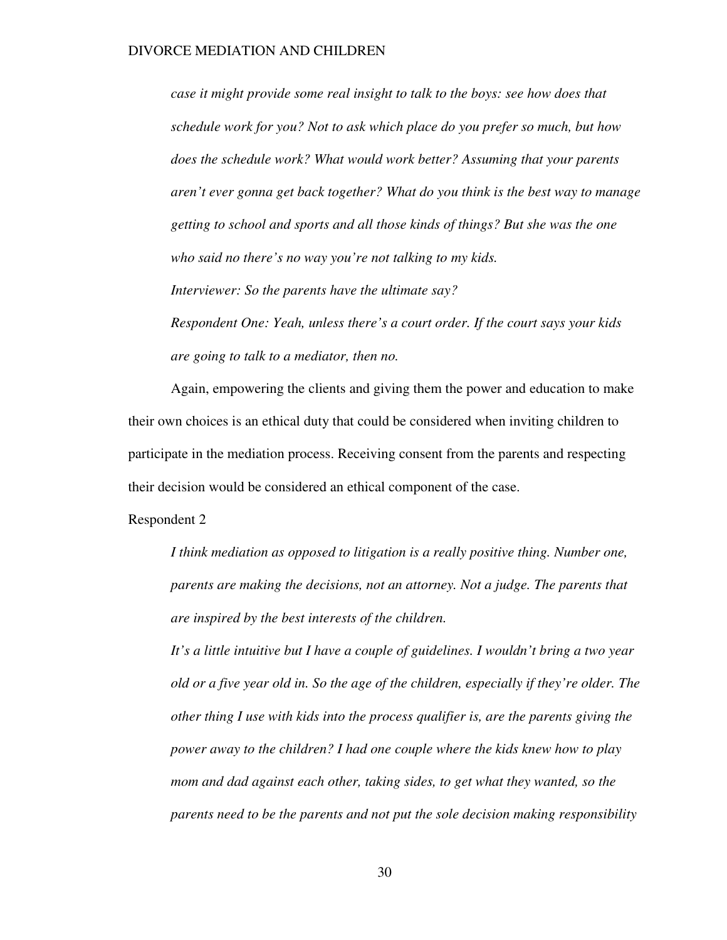*case it might provide some real insight to talk to the boys: see how does that schedule work for you? Not to ask which place do you prefer so much, but how does the schedule work? What would work better? Assuming that your parents aren't ever gonna get back together? What do you think is the best way to manage getting to school and sports and all those kinds of things? But she was the one who said no there's no way you're not talking to my kids.* 

*Interviewer: So the parents have the ultimate say?* 

*Respondent One: Yeah, unless there's a court order. If the court says your kids are going to talk to a mediator, then no.* 

Again, empowering the clients and giving them the power and education to make their own choices is an ethical duty that could be considered when inviting children to participate in the mediation process. Receiving consent from the parents and respecting their decision would be considered an ethical component of the case.

Respondent 2

*I think mediation as opposed to litigation is a really positive thing. Number one, parents are making the decisions, not an attorney. Not a judge. The parents that are inspired by the best interests of the children.* 

*It's a little intuitive but I have a couple of guidelines. I wouldn't bring a two year old or a five year old in. So the age of the children, especially if they're older. The other thing I use with kids into the process qualifier is, are the parents giving the power away to the children? I had one couple where the kids knew how to play mom and dad against each other, taking sides, to get what they wanted, so the parents need to be the parents and not put the sole decision making responsibility*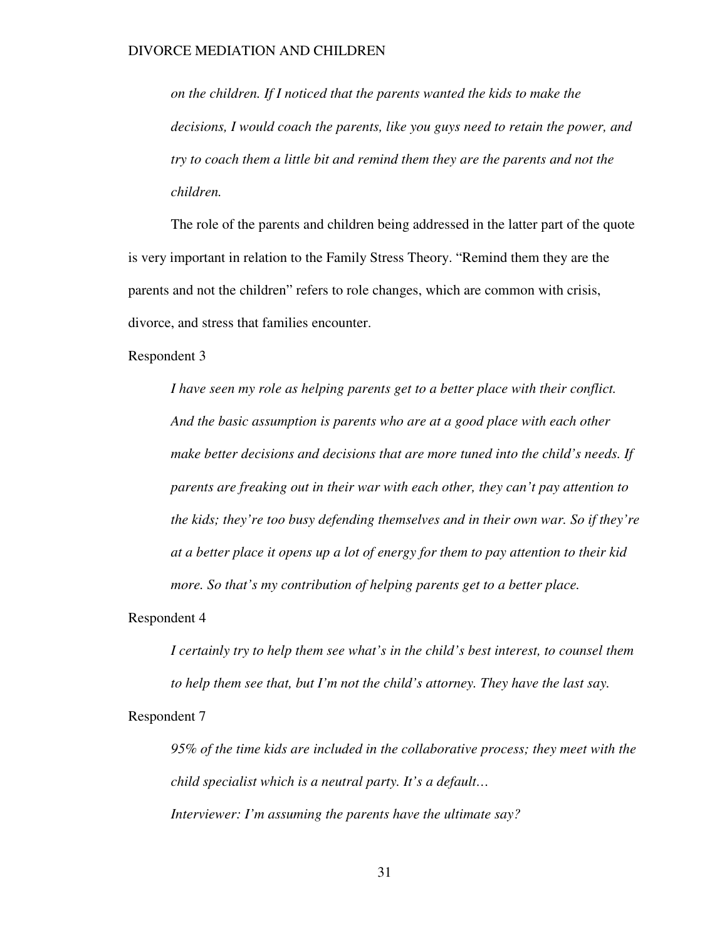*on the children. If I noticed that the parents wanted the kids to make the decisions, I would coach the parents, like you guys need to retain the power, and try to coach them a little bit and remind them they are the parents and not the children.* 

The role of the parents and children being addressed in the latter part of the quote is very important in relation to the Family Stress Theory. "Remind them they are the parents and not the children" refers to role changes, which are common with crisis, divorce, and stress that families encounter.

Respondent 3

*I have seen my role as helping parents get to a better place with their conflict. And the basic assumption is parents who are at a good place with each other make better decisions and decisions that are more tuned into the child's needs. If parents are freaking out in their war with each other, they can't pay attention to the kids; they're too busy defending themselves and in their own war. So if they're at a better place it opens up a lot of energy for them to pay attention to their kid more. So that's my contribution of helping parents get to a better place.* 

Respondent 4

*I certainly try to help them see what's in the child's best interest, to counsel them to help them see that, but I'm not the child's attorney. They have the last say.*  Respondent 7

*95% of the time kids are included in the collaborative process; they meet with the child specialist which is a neutral party. It's a default… Interviewer: I'm assuming the parents have the ultimate say?*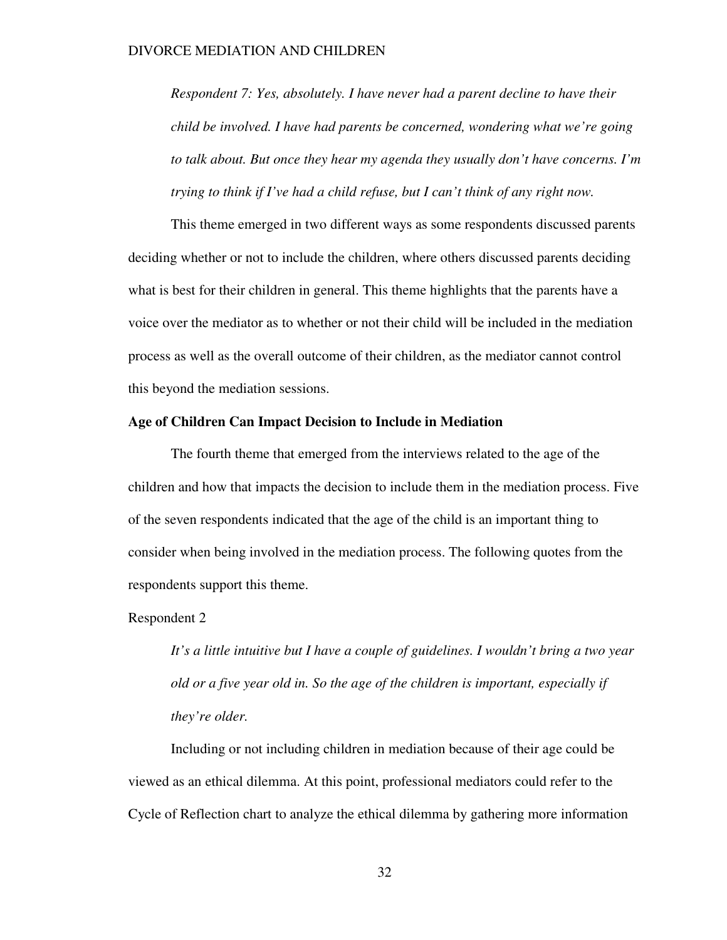*Respondent 7: Yes, absolutely. I have never had a parent decline to have their child be involved. I have had parents be concerned, wondering what we're going to talk about. But once they hear my agenda they usually don't have concerns. I'm trying to think if I've had a child refuse, but I can't think of any right now.* 

This theme emerged in two different ways as some respondents discussed parents deciding whether or not to include the children, where others discussed parents deciding what is best for their children in general. This theme highlights that the parents have a voice over the mediator as to whether or not their child will be included in the mediation process as well as the overall outcome of their children, as the mediator cannot control this beyond the mediation sessions.

#### **Age of Children Can Impact Decision to Include in Mediation**

The fourth theme that emerged from the interviews related to the age of the children and how that impacts the decision to include them in the mediation process. Five of the seven respondents indicated that the age of the child is an important thing to consider when being involved in the mediation process. The following quotes from the respondents support this theme.

#### Respondent 2

*It's a little intuitive but I have a couple of guidelines. I wouldn't bring a two year old or a five year old in. So the age of the children is important, especially if they're older.* 

Including or not including children in mediation because of their age could be viewed as an ethical dilemma. At this point, professional mediators could refer to the Cycle of Reflection chart to analyze the ethical dilemma by gathering more information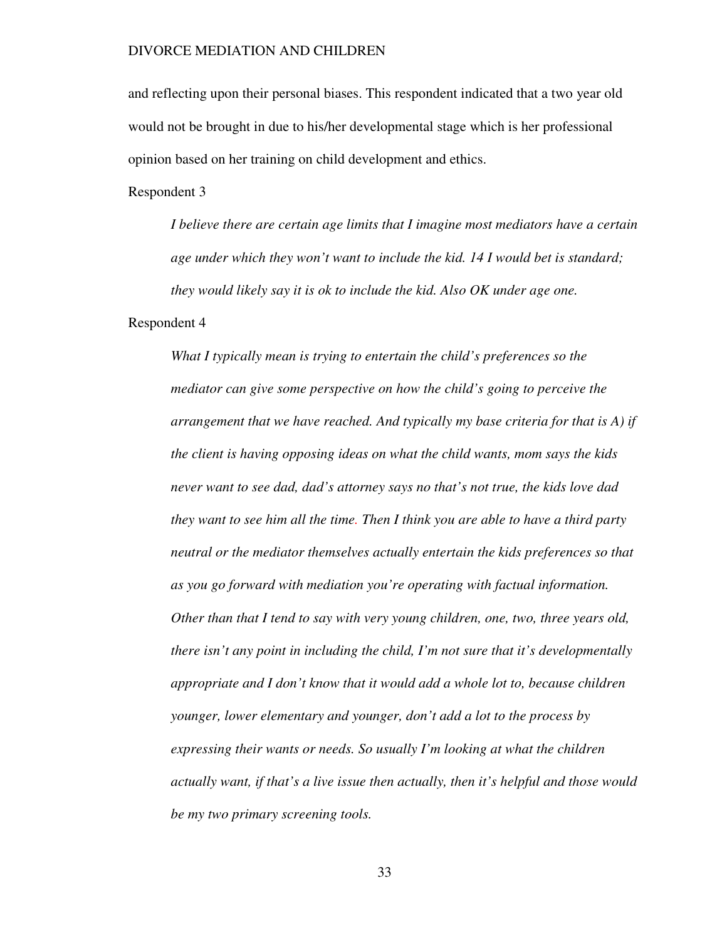and reflecting upon their personal biases. This respondent indicated that a two year old would not be brought in due to his/her developmental stage which is her professional opinion based on her training on child development and ethics.

Respondent 3

*I believe there are certain age limits that I imagine most mediators have a certain age under which they won't want to include the kid. 14 I would bet is standard; they would likely say it is ok to include the kid. Also OK under age one.* 

Respondent 4

*What I typically mean is trying to entertain the child's preferences so the mediator can give some perspective on how the child's going to perceive the arrangement that we have reached. And typically my base criteria for that is A) if the client is having opposing ideas on what the child wants, mom says the kids never want to see dad, dad's attorney says no that's not true, the kids love dad they want to see him all the time. Then I think you are able to have a third party neutral or the mediator themselves actually entertain the kids preferences so that as you go forward with mediation you're operating with factual information. Other than that I tend to say with very young children, one, two, three years old, there isn't any point in including the child, I'm not sure that it's developmentally appropriate and I don't know that it would add a whole lot to, because children younger, lower elementary and younger, don't add a lot to the process by expressing their wants or needs. So usually I'm looking at what the children actually want, if that's a live issue then actually, then it's helpful and those would be my two primary screening tools.*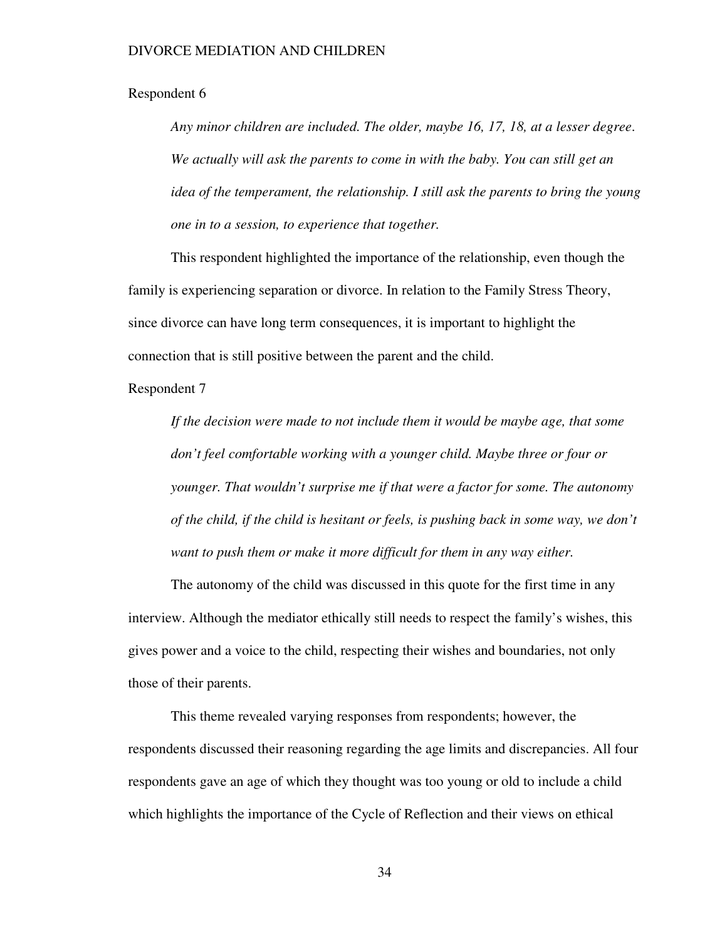#### Respondent 6

*Any minor children are included. The older, maybe 16, 17, 18, at a lesser degree*. *We actually will ask the parents to come in with the baby. You can still get an idea of the temperament, the relationship. I still ask the parents to bring the young one in to a session, to experience that together.* 

This respondent highlighted the importance of the relationship, even though the family is experiencing separation or divorce. In relation to the Family Stress Theory, since divorce can have long term consequences, it is important to highlight the connection that is still positive between the parent and the child.

Respondent 7

*If the decision were made to not include them it would be maybe age, that some don't feel comfortable working with a younger child. Maybe three or four or younger. That wouldn't surprise me if that were a factor for some. The autonomy of the child, if the child is hesitant or feels, is pushing back in some way, we don't want to push them or make it more difficult for them in any way either.* 

The autonomy of the child was discussed in this quote for the first time in any interview. Although the mediator ethically still needs to respect the family's wishes, this gives power and a voice to the child, respecting their wishes and boundaries, not only those of their parents.

This theme revealed varying responses from respondents; however, the respondents discussed their reasoning regarding the age limits and discrepancies. All four respondents gave an age of which they thought was too young or old to include a child which highlights the importance of the Cycle of Reflection and their views on ethical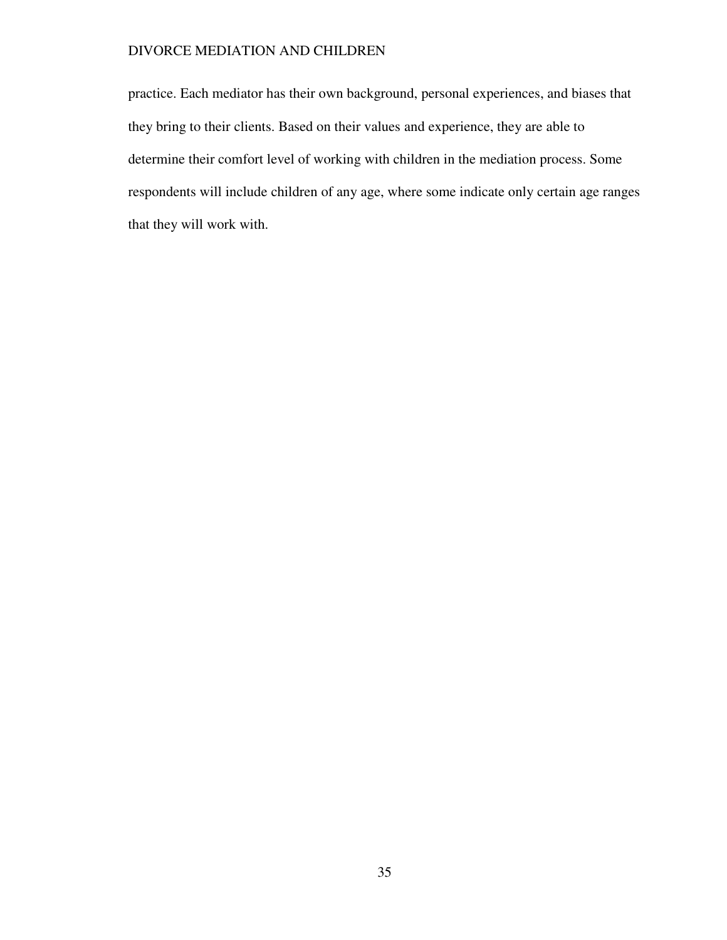practice. Each mediator has their own background, personal experiences, and biases that they bring to their clients. Based on their values and experience, they are able to determine their comfort level of working with children in the mediation process. Some respondents will include children of any age, where some indicate only certain age ranges that they will work with.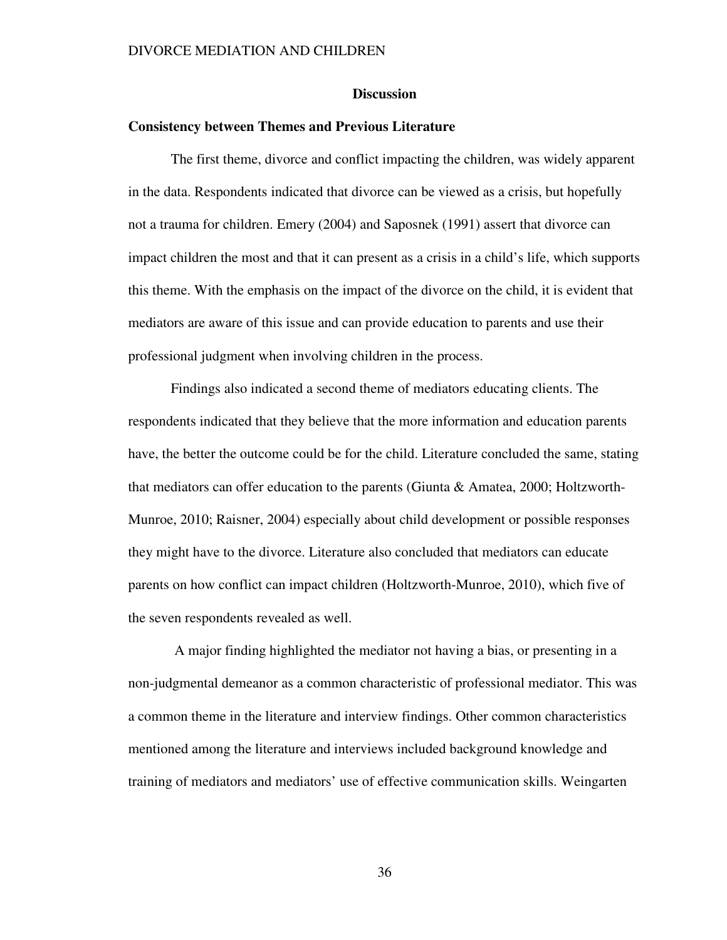#### **Discussion**

#### **Consistency between Themes and Previous Literature**

The first theme, divorce and conflict impacting the children, was widely apparent in the data. Respondents indicated that divorce can be viewed as a crisis, but hopefully not a trauma for children. Emery (2004) and Saposnek (1991) assert that divorce can impact children the most and that it can present as a crisis in a child's life, which supports this theme. With the emphasis on the impact of the divorce on the child, it is evident that mediators are aware of this issue and can provide education to parents and use their professional judgment when involving children in the process.

Findings also indicated a second theme of mediators educating clients. The respondents indicated that they believe that the more information and education parents have, the better the outcome could be for the child. Literature concluded the same, stating that mediators can offer education to the parents (Giunta & Amatea, 2000; Holtzworth-Munroe, 2010; Raisner, 2004) especially about child development or possible responses they might have to the divorce. Literature also concluded that mediators can educate parents on how conflict can impact children (Holtzworth-Munroe, 2010), which five of the seven respondents revealed as well.

 A major finding highlighted the mediator not having a bias, or presenting in a non-judgmental demeanor as a common characteristic of professional mediator. This was a common theme in the literature and interview findings. Other common characteristics mentioned among the literature and interviews included background knowledge and training of mediators and mediators' use of effective communication skills. Weingarten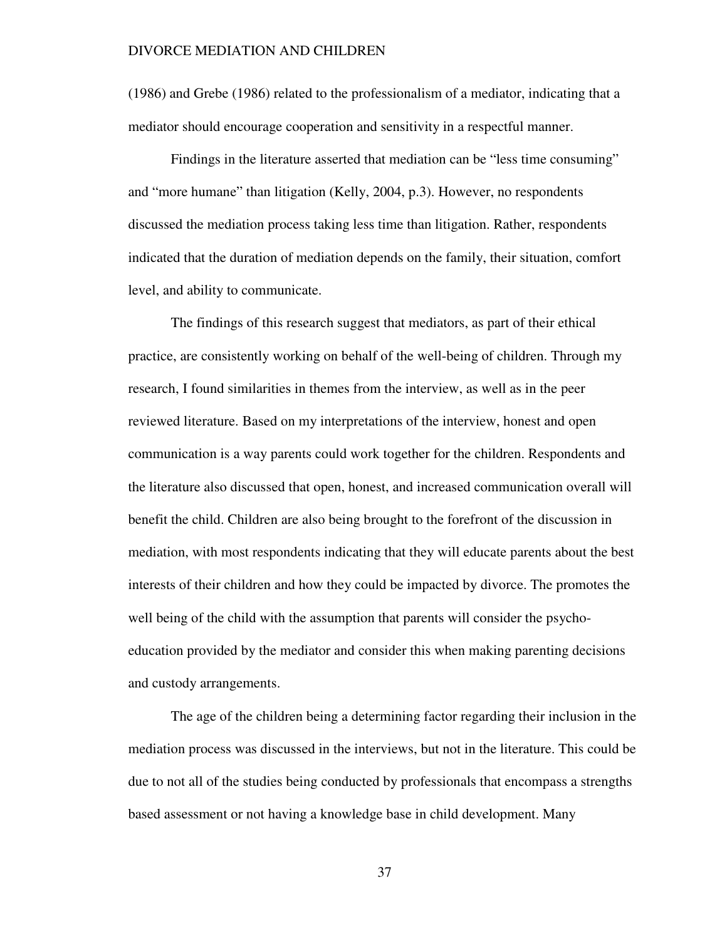(1986) and Grebe (1986) related to the professionalism of a mediator, indicating that a mediator should encourage cooperation and sensitivity in a respectful manner.

Findings in the literature asserted that mediation can be "less time consuming" and "more humane" than litigation (Kelly, 2004, p.3). However, no respondents discussed the mediation process taking less time than litigation. Rather, respondents indicated that the duration of mediation depends on the family, their situation, comfort level, and ability to communicate.

The findings of this research suggest that mediators, as part of their ethical practice, are consistently working on behalf of the well-being of children. Through my research, I found similarities in themes from the interview, as well as in the peer reviewed literature. Based on my interpretations of the interview, honest and open communication is a way parents could work together for the children. Respondents and the literature also discussed that open, honest, and increased communication overall will benefit the child. Children are also being brought to the forefront of the discussion in mediation, with most respondents indicating that they will educate parents about the best interests of their children and how they could be impacted by divorce. The promotes the well being of the child with the assumption that parents will consider the psychoeducation provided by the mediator and consider this when making parenting decisions and custody arrangements.

The age of the children being a determining factor regarding their inclusion in the mediation process was discussed in the interviews, but not in the literature. This could be due to not all of the studies being conducted by professionals that encompass a strengths based assessment or not having a knowledge base in child development. Many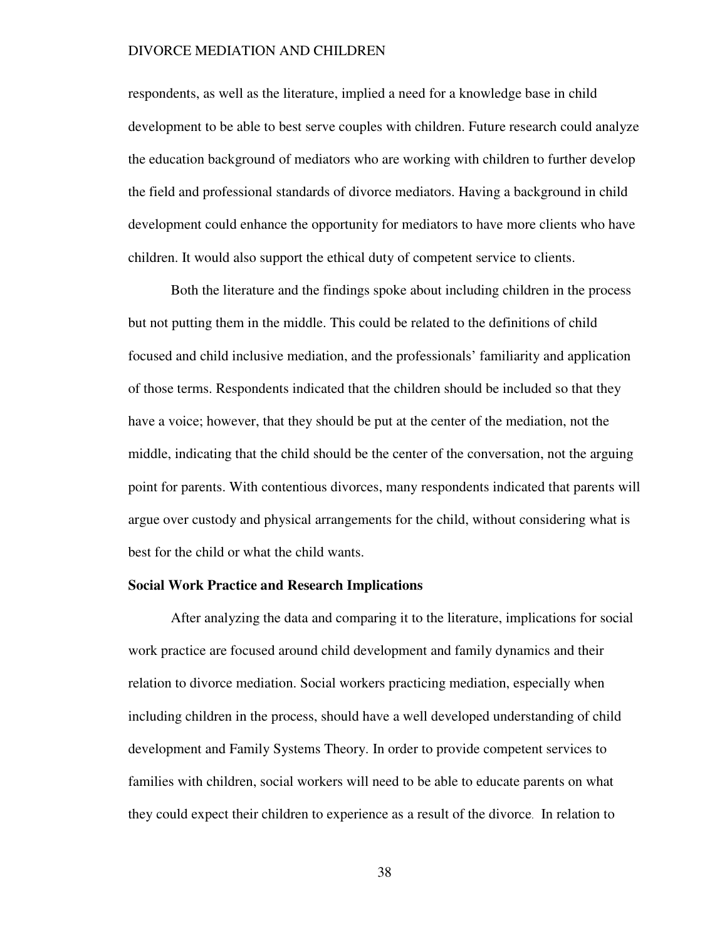respondents, as well as the literature, implied a need for a knowledge base in child development to be able to best serve couples with children. Future research could analyze the education background of mediators who are working with children to further develop the field and professional standards of divorce mediators. Having a background in child development could enhance the opportunity for mediators to have more clients who have children. It would also support the ethical duty of competent service to clients.

Both the literature and the findings spoke about including children in the process but not putting them in the middle. This could be related to the definitions of child focused and child inclusive mediation, and the professionals' familiarity and application of those terms. Respondents indicated that the children should be included so that they have a voice; however, that they should be put at the center of the mediation, not the middle, indicating that the child should be the center of the conversation, not the arguing point for parents. With contentious divorces, many respondents indicated that parents will argue over custody and physical arrangements for the child, without considering what is best for the child or what the child wants.

#### **Social Work Practice and Research Implications**

After analyzing the data and comparing it to the literature, implications for social work practice are focused around child development and family dynamics and their relation to divorce mediation. Social workers practicing mediation, especially when including children in the process, should have a well developed understanding of child development and Family Systems Theory. In order to provide competent services to families with children, social workers will need to be able to educate parents on what they could expect their children to experience as a result of the divorce. In relation to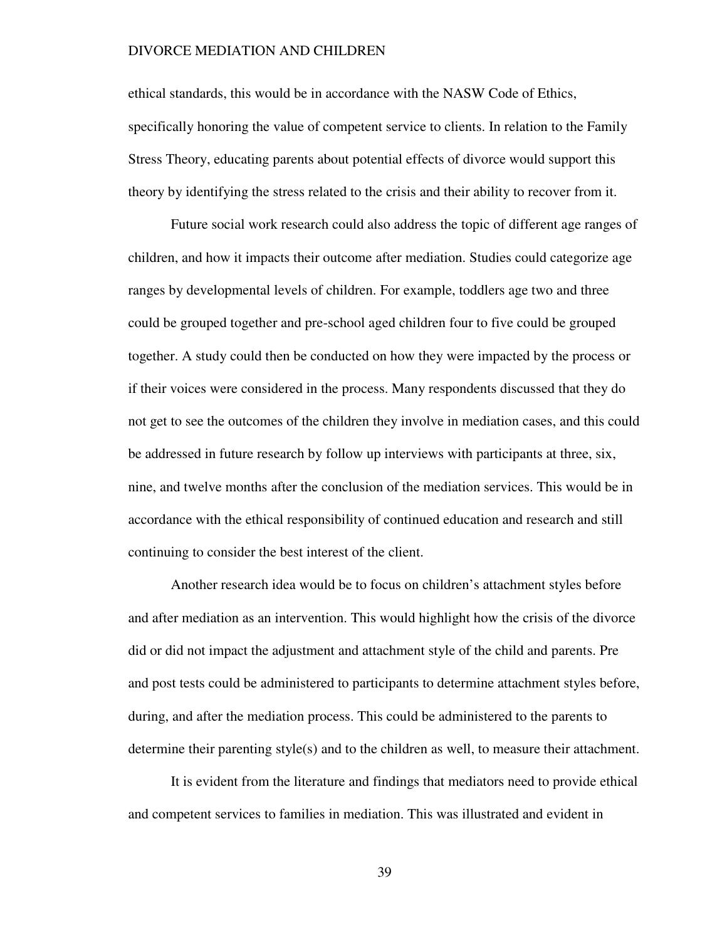ethical standards, this would be in accordance with the NASW Code of Ethics, specifically honoring the value of competent service to clients. In relation to the Family Stress Theory, educating parents about potential effects of divorce would support this theory by identifying the stress related to the crisis and their ability to recover from it.

Future social work research could also address the topic of different age ranges of children, and how it impacts their outcome after mediation. Studies could categorize age ranges by developmental levels of children. For example, toddlers age two and three could be grouped together and pre-school aged children four to five could be grouped together. A study could then be conducted on how they were impacted by the process or if their voices were considered in the process. Many respondents discussed that they do not get to see the outcomes of the children they involve in mediation cases, and this could be addressed in future research by follow up interviews with participants at three, six, nine, and twelve months after the conclusion of the mediation services. This would be in accordance with the ethical responsibility of continued education and research and still continuing to consider the best interest of the client.

Another research idea would be to focus on children's attachment styles before and after mediation as an intervention. This would highlight how the crisis of the divorce did or did not impact the adjustment and attachment style of the child and parents. Pre and post tests could be administered to participants to determine attachment styles before, during, and after the mediation process. This could be administered to the parents to determine their parenting style(s) and to the children as well, to measure their attachment.

It is evident from the literature and findings that mediators need to provide ethical and competent services to families in mediation. This was illustrated and evident in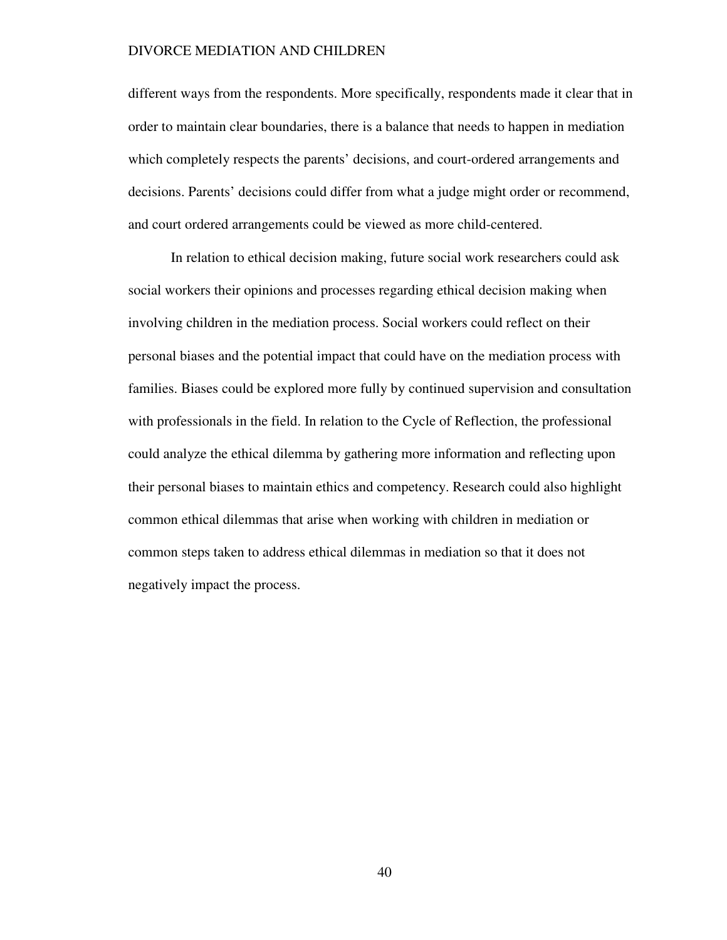different ways from the respondents. More specifically, respondents made it clear that in order to maintain clear boundaries, there is a balance that needs to happen in mediation which completely respects the parents' decisions, and court-ordered arrangements and decisions. Parents' decisions could differ from what a judge might order or recommend, and court ordered arrangements could be viewed as more child-centered.

In relation to ethical decision making, future social work researchers could ask social workers their opinions and processes regarding ethical decision making when involving children in the mediation process. Social workers could reflect on their personal biases and the potential impact that could have on the mediation process with families. Biases could be explored more fully by continued supervision and consultation with professionals in the field. In relation to the Cycle of Reflection, the professional could analyze the ethical dilemma by gathering more information and reflecting upon their personal biases to maintain ethics and competency. Research could also highlight common ethical dilemmas that arise when working with children in mediation or common steps taken to address ethical dilemmas in mediation so that it does not negatively impact the process.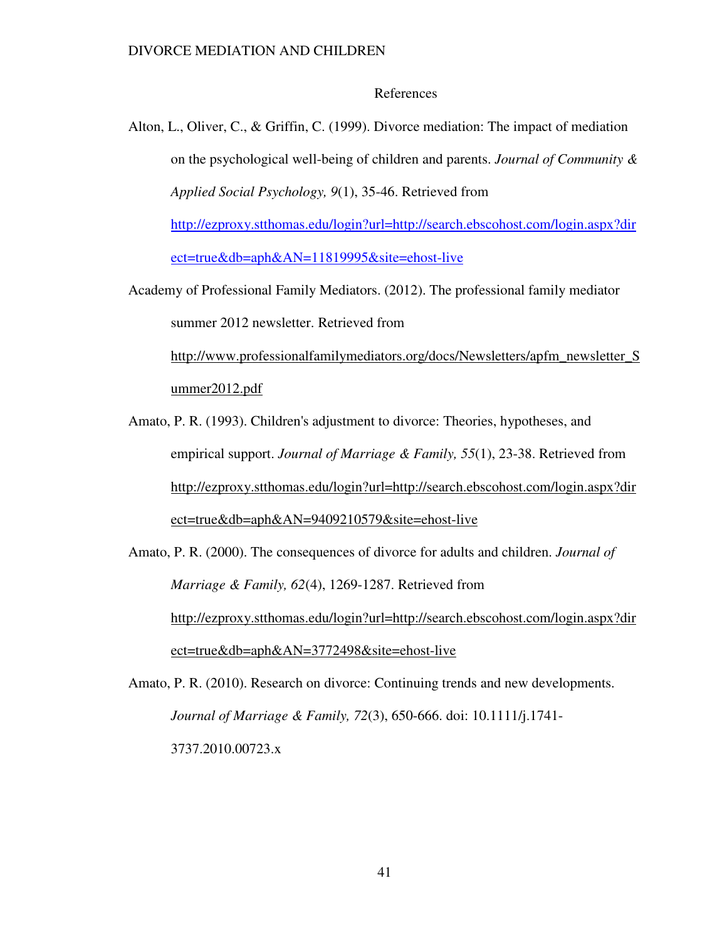### References

Alton, L., Oliver, C., & Griffin, C. (1999). Divorce mediation: The impact of mediation on the psychological well-being of children and parents. *Journal of Community & Applied Social Psychology, 9*(1), 35-46. Retrieved from

http://ezproxy.stthomas.edu/login?url=http://search.ebscohost.com/login.aspx?dir ect=true&db=aph&AN=11819995&site=ehost-live

Academy of Professional Family Mediators. (2012). The professional family mediator summer 2012 newsletter. Retrieved from

http://www.professionalfamilymediators.org/docs/Newsletters/apfm\_newsletter\_S ummer2012.pdf

Amato, P. R. (1993). Children's adjustment to divorce: Theories, hypotheses, and empirical support. *Journal of Marriage & Family, 55*(1), 23-38. Retrieved from http://ezproxy.stthomas.edu/login?url=http://search.ebscohost.com/login.aspx?dir ect=true&db=aph&AN=9409210579&site=ehost-live

Amato, P. R. (2000). The consequences of divorce for adults and children. *Journal of Marriage & Family, 62*(4), 1269-1287. Retrieved from http://ezproxy.stthomas.edu/login?url=http://search.ebscohost.com/login.aspx?dir ect=true&db=aph&AN=3772498&site=ehost-live

Amato, P. R. (2010). Research on divorce: Continuing trends and new developments. *Journal of Marriage & Family, 72*(3), 650-666. doi: 10.1111/j.1741- 3737.2010.00723.x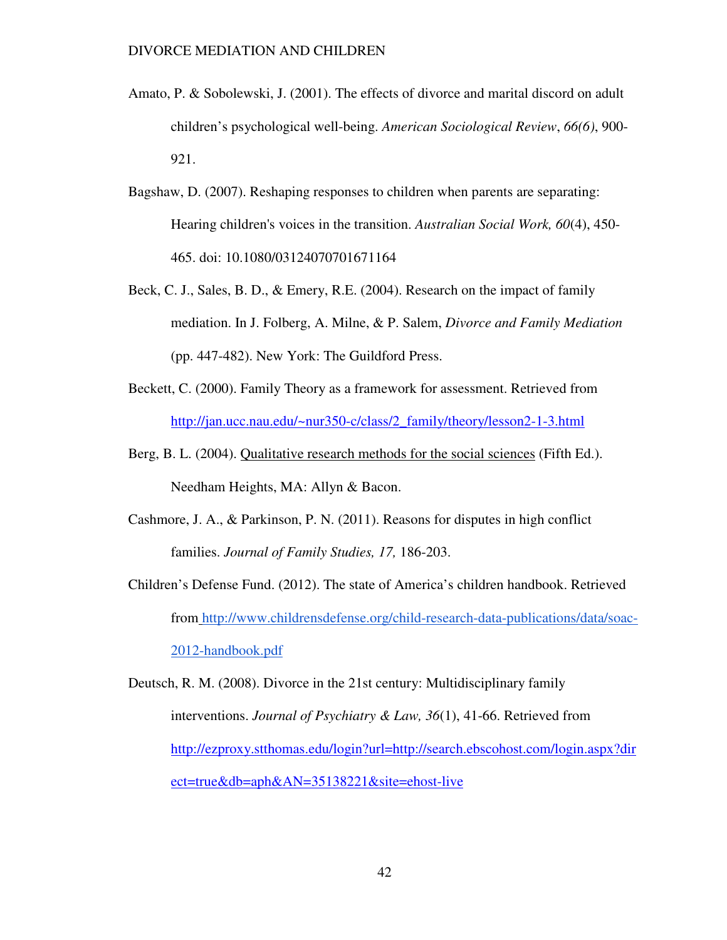- Amato, P. & Sobolewski, J. (2001). The effects of divorce and marital discord on adult children's psychological well-being. *American Sociological Review*, *66(6)*, 900- 921.
- Bagshaw, D. (2007). Reshaping responses to children when parents are separating: Hearing children's voices in the transition. *Australian Social Work, 60*(4), 450- 465. doi: 10.1080/03124070701671164
- Beck, C. J., Sales, B. D., & Emery, R.E. (2004). Research on the impact of family mediation. In J. Folberg, A. Milne, & P. Salem, *Divorce and Family Mediation*  (pp. 447-482). New York: The Guildford Press.
- Beckett, C. (2000). Family Theory as a framework for assessment. Retrieved from http://jan.ucc.nau.edu/~nur350-c/class/2\_family/theory/lesson2-1-3.html
- Berg, B. L. (2004). Qualitative research methods for the social sciences (Fifth Ed.). Needham Heights, MA: Allyn & Bacon.
- Cashmore, J. A., & Parkinson, P. N. (2011). Reasons for disputes in high conflict families. *Journal of Family Studies, 17,* 186-203.
- Children's Defense Fund. (2012). The state of America's children handbook. Retrieved from http://www.childrensdefense.org/child-research-data-publications/data/soac-2012-handbook.pdf

Deutsch, R. M. (2008). Divorce in the 21st century: Multidisciplinary family interventions. *Journal of Psychiatry & Law, 36*(1), 41-66. Retrieved from http://ezproxy.stthomas.edu/login?url=http://search.ebscohost.com/login.aspx?dir ect=true&db=aph&AN=35138221&site=ehost-live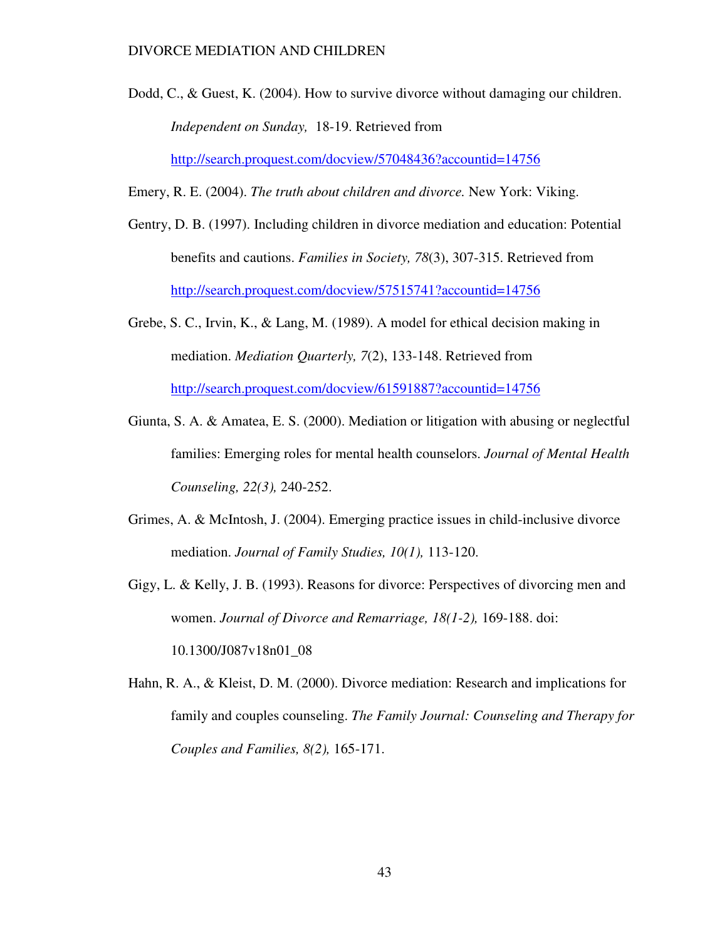Dodd, C., & Guest, K. (2004). How to survive divorce without damaging our children. *Independent on Sunday,* 18-19. Retrieved from http://search.proquest.com/docview/57048436?accountid=14756

Emery, R. E. (2004). *The truth about children and divorce.* New York: Viking.

- Gentry, D. B. (1997). Including children in divorce mediation and education: Potential benefits and cautions. *Families in Society, 78*(3), 307-315. Retrieved from http://search.proquest.com/docview/57515741?accountid=14756
- Grebe, S. C., Irvin, K., & Lang, M. (1989). A model for ethical decision making in mediation. *Mediation Quarterly, 7*(2), 133-148. Retrieved from http://search.proquest.com/docview/61591887?accountid=14756
- Giunta, S. A. & Amatea, E. S. (2000). Mediation or litigation with abusing or neglectful families: Emerging roles for mental health counselors. *Journal of Mental Health Counseling, 22(3),* 240-252.
- Grimes, A. & McIntosh, J. (2004). Emerging practice issues in child-inclusive divorce mediation. *Journal of Family Studies, 10(1),* 113-120.
- Gigy, L. & Kelly, J. B. (1993). Reasons for divorce: Perspectives of divorcing men and women. *Journal of Divorce and Remarriage, 18(1-2),* 169-188. doi: 10.1300/J087v18n01\_08
- Hahn, R. A., & Kleist, D. M. (2000). Divorce mediation: Research and implications for family and couples counseling. *The Family Journal: Counseling and Therapy for Couples and Families, 8(2),* 165-171.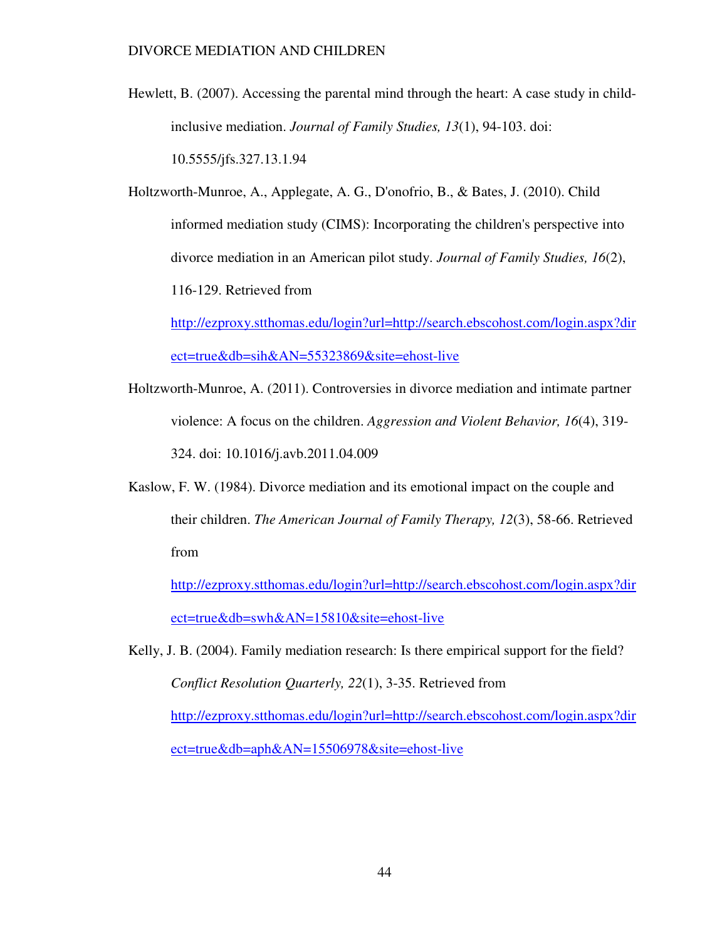Hewlett, B. (2007). Accessing the parental mind through the heart: A case study in childinclusive mediation. *Journal of Family Studies, 13*(1), 94-103. doi: 10.5555/jfs.327.13.1.94

Holtzworth-Munroe, A., Applegate, A. G., D'onofrio, B., & Bates, J. (2010). Child informed mediation study (CIMS): Incorporating the children's perspective into divorce mediation in an American pilot study. *Journal of Family Studies, 16*(2), 116-129. Retrieved from

http://ezproxy.stthomas.edu/login?url=http://search.ebscohost.com/login.aspx?dir ect=true&db=sih&AN=55323869&site=ehost-live

- Holtzworth-Munroe, A. (2011). Controversies in divorce mediation and intimate partner violence: A focus on the children. *Aggression and Violent Behavior, 16*(4), 319- 324. doi: 10.1016/j.avb.2011.04.009
- Kaslow, F. W. (1984). Divorce mediation and its emotional impact on the couple and their children. *The American Journal of Family Therapy, 12*(3), 58-66. Retrieved from

http://ezproxy.stthomas.edu/login?url=http://search.ebscohost.com/login.aspx?dir ect=true&db=swh&AN=15810&site=ehost-live

Kelly, J. B. (2004). Family mediation research: Is there empirical support for the field? *Conflict Resolution Quarterly, 22*(1), 3-35. Retrieved from http://ezproxy.stthomas.edu/login?url=http://search.ebscohost.com/login.aspx?dir ect=true&db=aph&AN=15506978&site=ehost-live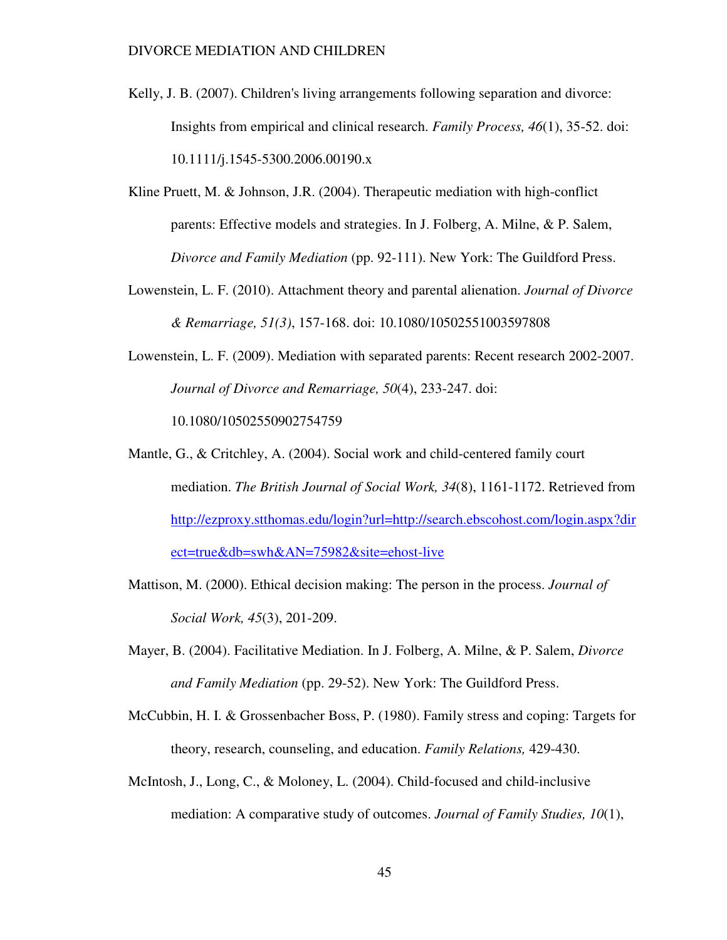- Kelly, J. B. (2007). Children's living arrangements following separation and divorce: Insights from empirical and clinical research. *Family Process, 46*(1), 35-52. doi: 10.1111/j.1545-5300.2006.00190.x
- Kline Pruett, M. & Johnson, J.R. (2004). Therapeutic mediation with high-conflict parents: Effective models and strategies. In J. Folberg, A. Milne, & P. Salem, *Divorce and Family Mediation* (pp. 92-111). New York: The Guildford Press.
- Lowenstein, L. F. (2010). Attachment theory and parental alienation. *Journal of Divorce & Remarriage, 51(3)*, 157-168. doi: 10.1080/10502551003597808
- Lowenstein, L. F. (2009). Mediation with separated parents: Recent research 2002-2007. *Journal of Divorce and Remarriage, 50*(4), 233-247. doi: 10.1080/10502550902754759
- Mantle, G., & Critchley, A. (2004). Social work and child-centered family court mediation. *The British Journal of Social Work, 34*(8), 1161-1172. Retrieved from http://ezproxy.stthomas.edu/login?url=http://search.ebscohost.com/login.aspx?dir ect=true&db=swh&AN=75982&site=ehost-live
- Mattison, M. (2000). Ethical decision making: The person in the process. *Journal of Social Work, 45*(3), 201-209.
- Mayer, B. (2004). Facilitative Mediation. In J. Folberg, A. Milne, & P. Salem, *Divorce and Family Mediation* (pp. 29-52). New York: The Guildford Press.
- McCubbin, H. I. & Grossenbacher Boss, P. (1980). Family stress and coping: Targets for theory, research, counseling, and education. *Family Relations,* 429-430.
- McIntosh, J., Long, C., & Moloney, L. (2004). Child-focused and child-inclusive mediation: A comparative study of outcomes. *Journal of Family Studies, 10*(1),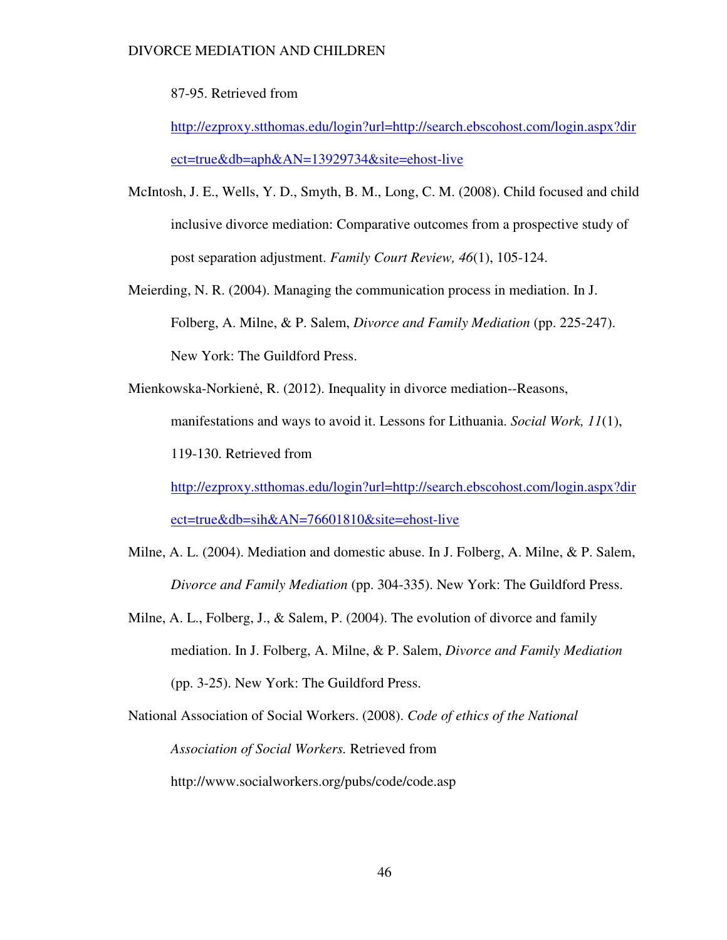87-95. Retrieved from

http://ezproxy.stthomas.edu/login?url=http://search.ebscohost.com/login.aspx?dir ect=true&db=aph&AN=13929734&site=ehost-live

- McIntosh, J. E., Wells, Y. D., Smyth, B. M., Long, C. M. (2008). Child focused and child inclusive divorce mediation: Comparative outcomes from a prospective study of post separation adjustment. *Family Court Review, 46*(1), 105-124.
- Meierding, N. R. (2004). Managing the communication process in mediation. In J. Folberg, A. Milne, & P. Salem, *Divorce and Family Mediation* (pp. 225-247). New York: The Guildford Press.
- Mienkowska-Norkienė, R. (2012). Inequality in divorce mediation--Reasons, manifestations and ways to avoid it. Lessons for Lithuania. *Social Work, 11*(1), 119-130. Retrieved from http://ezproxy.stthomas.edu/login?url=http://search.ebscohost.com/login.aspx?dir

ect=true&db=sih&AN=76601810&site=ehost-live

- Milne, A. L. (2004). Mediation and domestic abuse. In J. Folberg, A. Milne, & P. Salem, *Divorce and Family Mediation* (pp. 304-335). New York: The Guildford Press.
- Milne, A. L., Folberg, J., & Salem, P. (2004). The evolution of divorce and family mediation. In J. Folberg, A. Milne, & P. Salem, *Divorce and Family Mediation*  (pp. 3-25). New York: The Guildford Press.
- National Association of Social Workers. (2008). *Code of ethics of the National Association of Social Workers.* Retrieved from http://www.socialworkers.org/pubs/code/code.asp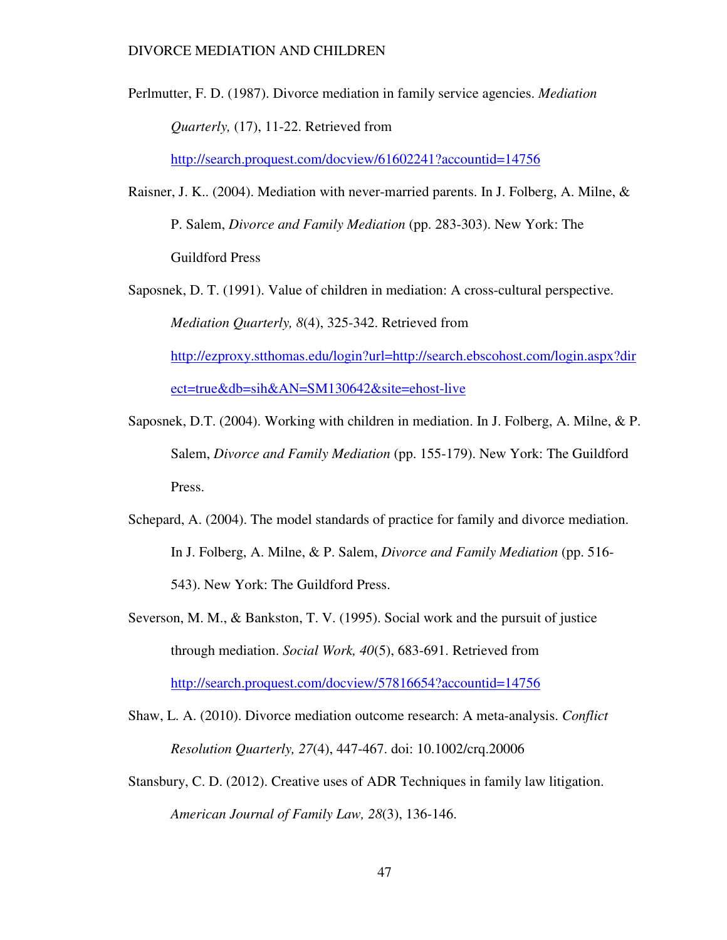Perlmutter, F. D. (1987). Divorce mediation in family service agencies. *Mediation Quarterly,* (17), 11-22. Retrieved from http://search.proquest.com/docview/61602241?accountid=14756

Raisner, J. K.. (2004). Mediation with never-married parents. In J. Folberg, A. Milne, & P. Salem, *Divorce and Family Mediation* (pp. 283-303). New York: The Guildford Press

Saposnek, D. T. (1991). Value of children in mediation: A cross-cultural perspective. *Mediation Quarterly, 8*(4), 325-342. Retrieved from http://ezproxy.stthomas.edu/login?url=http://search.ebscohost.com/login.aspx?dir ect=true&db=sih&AN=SM130642&site=ehost-live

- Saposnek, D.T. (2004). Working with children in mediation. In J. Folberg, A. Milne, & P. Salem, *Divorce and Family Mediation* (pp. 155-179). New York: The Guildford Press.
- Schepard, A. (2004). The model standards of practice for family and divorce mediation. In J. Folberg, A. Milne, & P. Salem, *Divorce and Family Mediation* (pp. 516- 543). New York: The Guildford Press.
- Severson, M. M., & Bankston, T. V. (1995). Social work and the pursuit of justice through mediation. *Social Work, 40*(5), 683-691. Retrieved from http://search.proquest.com/docview/57816654?accountid=14756

Shaw, L. A. (2010). Divorce mediation outcome research: A meta-analysis. *Conflict Resolution Quarterly, 27*(4), 447-467. doi: 10.1002/crq.20006

Stansbury, C. D. (2012). Creative uses of ADR Techniques in family law litigation. *American Journal of Family Law, 28*(3), 136-146.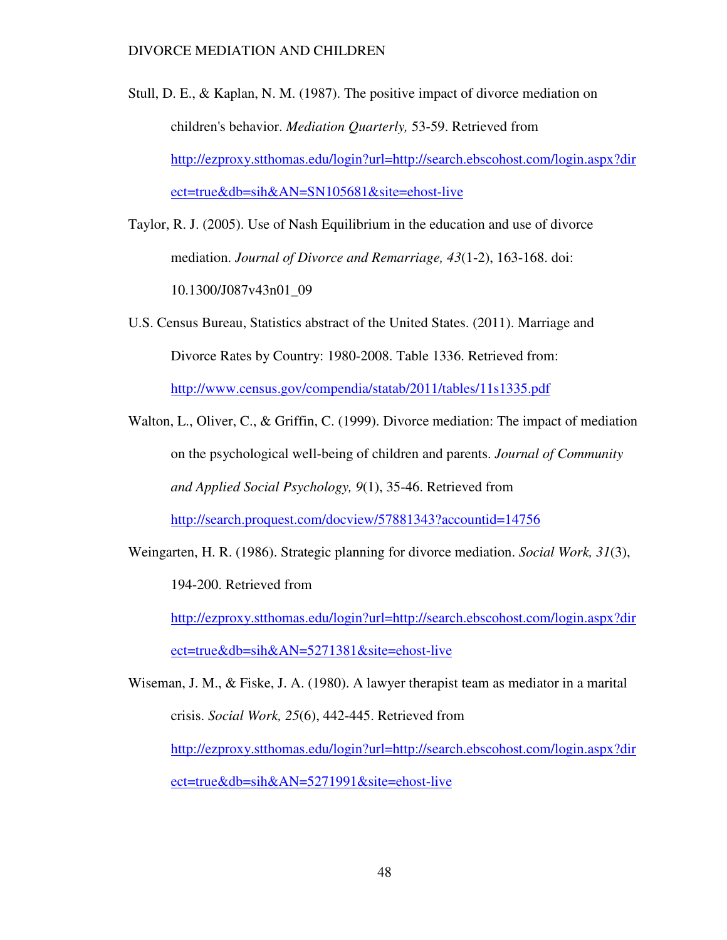- Stull, D. E., & Kaplan, N. M. (1987). The positive impact of divorce mediation on children's behavior. *Mediation Quarterly,* 53-59. Retrieved from http://ezproxy.stthomas.edu/login?url=http://search.ebscohost.com/login.aspx?dir ect=true&db=sih&AN=SN105681&site=ehost-live
- Taylor, R. J. (2005). Use of Nash Equilibrium in the education and use of divorce mediation. *Journal of Divorce and Remarriage, 43*(1-2), 163-168. doi: 10.1300/J087v43n01\_09
- U.S. Census Bureau, Statistics abstract of the United States. (2011). Marriage and Divorce Rates by Country: 1980-2008. Table 1336. Retrieved from: http://www.census.gov/compendia/statab/2011/tables/11s1335.pdf
- Walton, L., Oliver, C., & Griffin, C. (1999). Divorce mediation: The impact of mediation on the psychological well-being of children and parents. *Journal of Community and Applied Social Psychology, 9*(1), 35-46. Retrieved from http://search.proquest.com/docview/57881343?accountid=14756
- Weingarten, H. R. (1986). Strategic planning for divorce mediation. *Social Work, 31*(3), 194-200. Retrieved from

http://ezproxy.stthomas.edu/login?url=http://search.ebscohost.com/login.aspx?dir ect=true&db=sih&AN=5271381&site=ehost-live

Wiseman, J. M., & Fiske, J. A. (1980). A lawyer therapist team as mediator in a marital crisis. *Social Work, 25*(6), 442-445. Retrieved from http://ezproxy.stthomas.edu/login?url=http://search.ebscohost.com/login.aspx?dir ect=true&db=sih&AN=5271991&site=ehost-live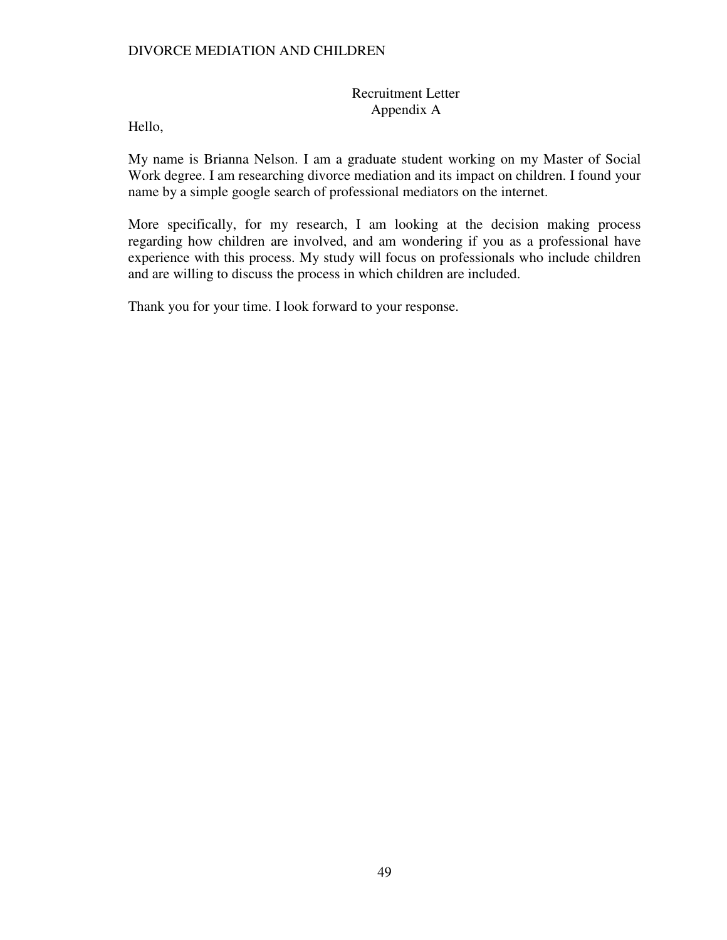### Recruitment Letter Appendix A

Hello,

My name is Brianna Nelson. I am a graduate student working on my Master of Social Work degree. I am researching divorce mediation and its impact on children. I found your name by a simple google search of professional mediators on the internet.

More specifically, for my research, I am looking at the decision making process regarding how children are involved, and am wondering if you as a professional have experience with this process. My study will focus on professionals who include children and are willing to discuss the process in which children are included.

Thank you for your time. I look forward to your response.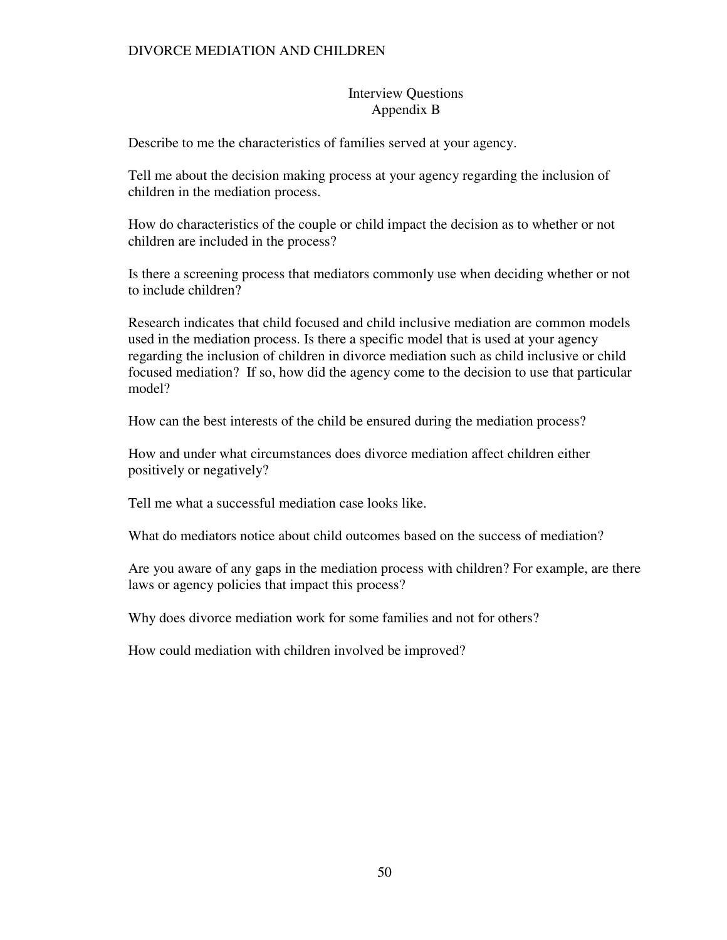### Interview Questions Appendix B

Describe to me the characteristics of families served at your agency.

Tell me about the decision making process at your agency regarding the inclusion of children in the mediation process.

How do characteristics of the couple or child impact the decision as to whether or not children are included in the process?

Is there a screening process that mediators commonly use when deciding whether or not to include children?

Research indicates that child focused and child inclusive mediation are common models used in the mediation process. Is there a specific model that is used at your agency regarding the inclusion of children in divorce mediation such as child inclusive or child focused mediation? If so, how did the agency come to the decision to use that particular model?

How can the best interests of the child be ensured during the mediation process?

How and under what circumstances does divorce mediation affect children either positively or negatively?

Tell me what a successful mediation case looks like.

What do mediators notice about child outcomes based on the success of mediation?

Are you aware of any gaps in the mediation process with children? For example, are there laws or agency policies that impact this process?

Why does divorce mediation work for some families and not for others?

How could mediation with children involved be improved?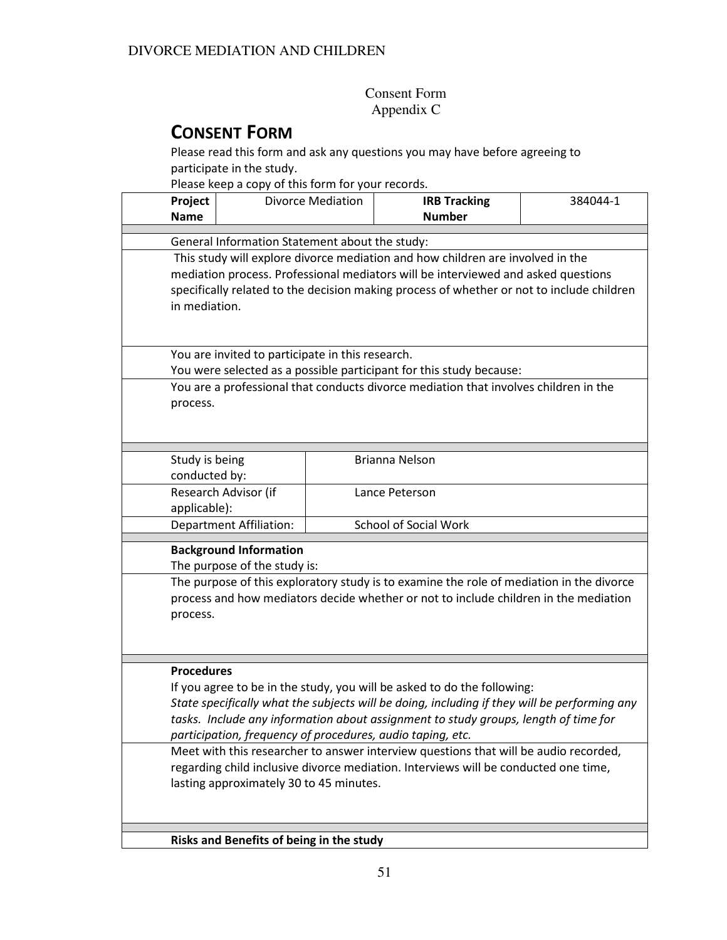## Consent Form Appendix C

# CONSENT FORM

Please read this form and ask any questions you may have before agreeing to participate in the study.

Please keep a copy of this form for your records.

| Project<br><b>Name</b>                                                                                                         |                                                                                      | <b>Divorce Mediation</b> | <b>IRB Tracking</b><br><b>Number</b>                                                      | 384044-1 |  |  |  |
|--------------------------------------------------------------------------------------------------------------------------------|--------------------------------------------------------------------------------------|--------------------------|-------------------------------------------------------------------------------------------|----------|--|--|--|
|                                                                                                                                |                                                                                      |                          |                                                                                           |          |  |  |  |
|                                                                                                                                | General Information Statement about the study:                                       |                          |                                                                                           |          |  |  |  |
|                                                                                                                                | This study will explore divorce mediation and how children are involved in the       |                          |                                                                                           |          |  |  |  |
|                                                                                                                                |                                                                                      |                          | mediation process. Professional mediators will be interviewed and asked questions         |          |  |  |  |
|                                                                                                                                |                                                                                      |                          | specifically related to the decision making process of whether or not to include children |          |  |  |  |
|                                                                                                                                | in mediation.                                                                        |                          |                                                                                           |          |  |  |  |
|                                                                                                                                |                                                                                      |                          |                                                                                           |          |  |  |  |
|                                                                                                                                | You are invited to participate in this research.                                     |                          |                                                                                           |          |  |  |  |
|                                                                                                                                |                                                                                      |                          | You were selected as a possible participant for this study because:                       |          |  |  |  |
|                                                                                                                                |                                                                                      |                          | You are a professional that conducts divorce mediation that involves children in the      |          |  |  |  |
| process.                                                                                                                       |                                                                                      |                          |                                                                                           |          |  |  |  |
|                                                                                                                                |                                                                                      |                          |                                                                                           |          |  |  |  |
|                                                                                                                                |                                                                                      |                          |                                                                                           |          |  |  |  |
|                                                                                                                                |                                                                                      |                          |                                                                                           |          |  |  |  |
| Study is being<br>conducted by:                                                                                                |                                                                                      |                          | Brianna Nelson                                                                            |          |  |  |  |
|                                                                                                                                | Research Advisor (if                                                                 |                          | Lance Peterson                                                                            |          |  |  |  |
| applicable):                                                                                                                   |                                                                                      |                          |                                                                                           |          |  |  |  |
|                                                                                                                                | <b>Department Affiliation:</b>                                                       |                          | <b>School of Social Work</b>                                                              |          |  |  |  |
|                                                                                                                                |                                                                                      |                          |                                                                                           |          |  |  |  |
|                                                                                                                                | <b>Background Information</b>                                                        |                          |                                                                                           |          |  |  |  |
|                                                                                                                                | The purpose of the study is:                                                         |                          |                                                                                           |          |  |  |  |
|                                                                                                                                |                                                                                      |                          | The purpose of this exploratory study is to examine the role of mediation in the divorce  |          |  |  |  |
|                                                                                                                                |                                                                                      |                          | process and how mediators decide whether or not to include children in the mediation      |          |  |  |  |
|                                                                                                                                | process.                                                                             |                          |                                                                                           |          |  |  |  |
|                                                                                                                                |                                                                                      |                          |                                                                                           |          |  |  |  |
|                                                                                                                                |                                                                                      |                          |                                                                                           |          |  |  |  |
| <b>Procedures</b>                                                                                                              |                                                                                      |                          |                                                                                           |          |  |  |  |
|                                                                                                                                | If you agree to be in the study, you will be asked to do the following:              |                          |                                                                                           |          |  |  |  |
| State specifically what the subjects will be doing, including if they will be performing any                                   |                                                                                      |                          |                                                                                           |          |  |  |  |
| tasks. Include any information about assignment to study groups, length of time for                                            |                                                                                      |                          |                                                                                           |          |  |  |  |
|                                                                                                                                | participation, frequency of procedures, audio taping, etc.                           |                          |                                                                                           |          |  |  |  |
|                                                                                                                                | Meet with this researcher to answer interview questions that will be audio recorded, |                          |                                                                                           |          |  |  |  |
| regarding child inclusive divorce mediation. Interviews will be conducted one time,<br>lasting approximately 30 to 45 minutes. |                                                                                      |                          |                                                                                           |          |  |  |  |
|                                                                                                                                |                                                                                      |                          |                                                                                           |          |  |  |  |
|                                                                                                                                |                                                                                      |                          |                                                                                           |          |  |  |  |
|                                                                                                                                |                                                                                      |                          |                                                                                           |          |  |  |  |
|                                                                                                                                | Risks and Benefits of being in the study                                             |                          |                                                                                           |          |  |  |  |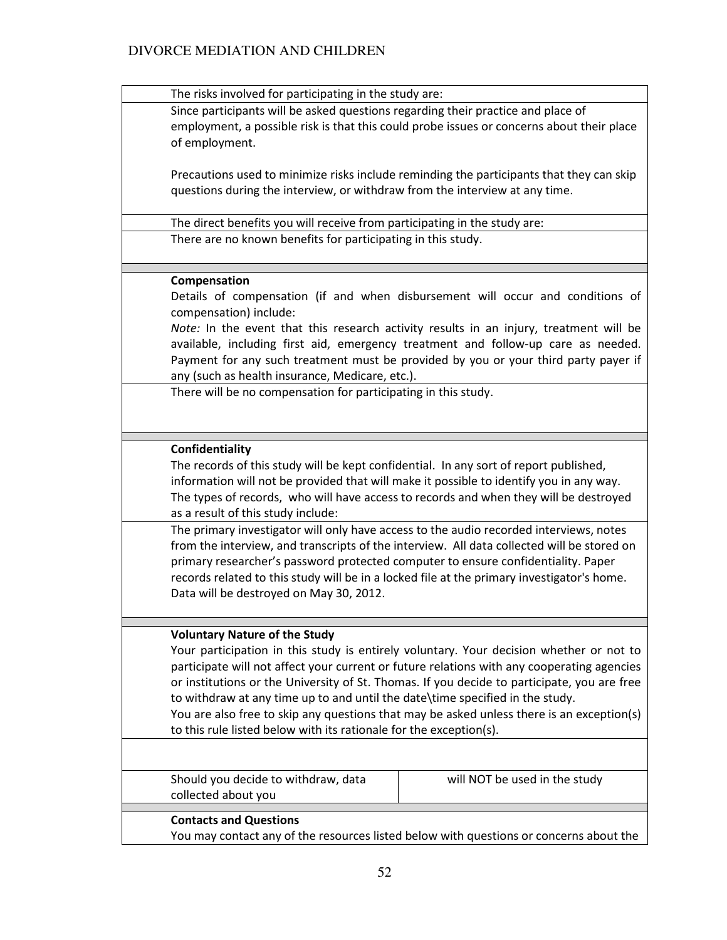| The risks involved for participating in the study are:                                      |  |  |  |  |  |
|---------------------------------------------------------------------------------------------|--|--|--|--|--|
| Since participants will be asked questions regarding their practice and place of            |  |  |  |  |  |
| employment, a possible risk is that this could probe issues or concerns about their place   |  |  |  |  |  |
| of employment.                                                                              |  |  |  |  |  |
|                                                                                             |  |  |  |  |  |
|                                                                                             |  |  |  |  |  |
| Precautions used to minimize risks include reminding the participants that they can skip    |  |  |  |  |  |
| questions during the interview, or withdraw from the interview at any time.                 |  |  |  |  |  |
|                                                                                             |  |  |  |  |  |
| The direct benefits you will receive from participating in the study are:                   |  |  |  |  |  |
| There are no known benefits for participating in this study.                                |  |  |  |  |  |
|                                                                                             |  |  |  |  |  |
|                                                                                             |  |  |  |  |  |
| Compensation                                                                                |  |  |  |  |  |
| Details of compensation (if and when disbursement will occur and conditions of              |  |  |  |  |  |
| compensation) include:                                                                      |  |  |  |  |  |
|                                                                                             |  |  |  |  |  |
| Note: In the event that this research activity results in an injury, treatment will be      |  |  |  |  |  |
| available, including first aid, emergency treatment and follow-up care as needed.           |  |  |  |  |  |
| Payment for any such treatment must be provided by you or your third party payer if         |  |  |  |  |  |
| any (such as health insurance, Medicare, etc.).                                             |  |  |  |  |  |
| There will be no compensation for participating in this study.                              |  |  |  |  |  |
|                                                                                             |  |  |  |  |  |
|                                                                                             |  |  |  |  |  |
|                                                                                             |  |  |  |  |  |
| Confidentiality                                                                             |  |  |  |  |  |
| The records of this study will be kept confidential. In any sort of report published,       |  |  |  |  |  |
| information will not be provided that will make it possible to identify you in any way.     |  |  |  |  |  |
|                                                                                             |  |  |  |  |  |
| The types of records, who will have access to records and when they will be destroyed       |  |  |  |  |  |
| as a result of this study include:                                                          |  |  |  |  |  |
| The primary investigator will only have access to the audio recorded interviews, notes      |  |  |  |  |  |
| from the interview, and transcripts of the interview. All data collected will be stored on  |  |  |  |  |  |
| primary researcher's password protected computer to ensure confidentiality. Paper           |  |  |  |  |  |
|                                                                                             |  |  |  |  |  |
| records related to this study will be in a locked file at the primary investigator's home.  |  |  |  |  |  |
| Data will be destroyed on May 30, 2012.                                                     |  |  |  |  |  |
|                                                                                             |  |  |  |  |  |
|                                                                                             |  |  |  |  |  |
| <b>Voluntary Nature of the Study</b>                                                        |  |  |  |  |  |
| Your participation in this study is entirely voluntary. Your decision whether or not to     |  |  |  |  |  |
| participate will not affect your current or future relations with any cooperating agencies  |  |  |  |  |  |
| or institutions or the University of St. Thomas. If you decide to participate, you are free |  |  |  |  |  |
| to withdraw at any time up to and until the date\time specified in the study.               |  |  |  |  |  |
| You are also free to skip any questions that may be asked unless there is an exception(s)   |  |  |  |  |  |
|                                                                                             |  |  |  |  |  |
| to this rule listed below with its rationale for the exception(s).                          |  |  |  |  |  |
|                                                                                             |  |  |  |  |  |
| Should you decide to withdraw, data<br>will NOT be used in the study                        |  |  |  |  |  |
|                                                                                             |  |  |  |  |  |
| collected about you                                                                         |  |  |  |  |  |
| <b>Contacts and Questions</b>                                                               |  |  |  |  |  |
| You may contact any of the resources listed below with questions or concerns about the      |  |  |  |  |  |
|                                                                                             |  |  |  |  |  |